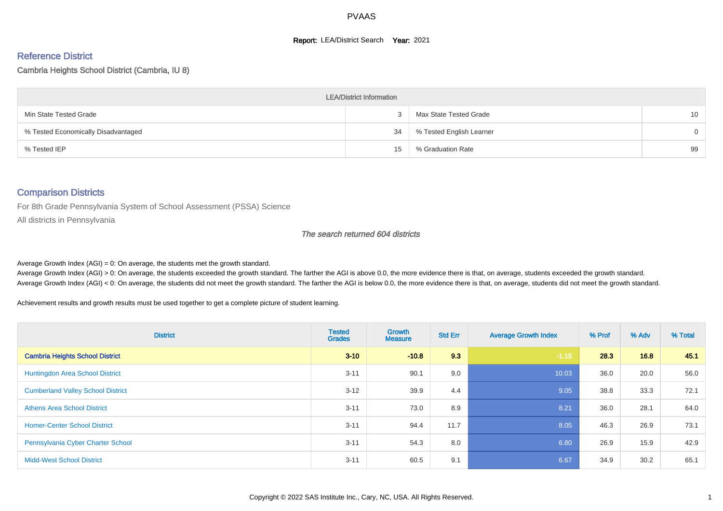#### **Report: LEA/District Search Year: 2021**

#### Reference District

#### Cambria Heights School District (Cambria, IU 8)

| <b>LEA/District Information</b>     |    |                          |          |  |  |  |  |  |  |  |
|-------------------------------------|----|--------------------------|----------|--|--|--|--|--|--|--|
| Min State Tested Grade              |    | Max State Tested Grade   | 10       |  |  |  |  |  |  |  |
| % Tested Economically Disadvantaged | 34 | % Tested English Learner | $\Omega$ |  |  |  |  |  |  |  |
| % Tested IEP                        | 15 | % Graduation Rate        | 99       |  |  |  |  |  |  |  |

#### Comparison Districts

For 8th Grade Pennsylvania System of School Assessment (PSSA) Science

All districts in Pennsylvania

#### The search returned 604 districts

Average Growth Index  $(AGI) = 0$ : On average, the students met the growth standard.

Average Growth Index (AGI) > 0: On average, the students exceeded the growth standard. The farther the AGI is above 0.0, the more evidence there is that, on average, students exceeded the growth standard. Average Growth Index (AGI) < 0: On average, the students did not meet the growth standard. The farther the AGI is below 0.0, the more evidence there is that, on average, students did not meet the growth standard.

Achievement results and growth results must be used together to get a complete picture of student learning.

| <b>District</b>                          | <b>Tested</b><br><b>Grades</b> | Growth<br><b>Measure</b> | <b>Std Err</b> | <b>Average Growth Index</b> | % Prof | % Adv | % Total |
|------------------------------------------|--------------------------------|--------------------------|----------------|-----------------------------|--------|-------|---------|
| <b>Cambria Heights School District</b>   | $3 - 10$                       | $-10.8$                  | 9.3            | $-1.15$                     | 28.3   | 16.8  | 45.1    |
| Huntingdon Area School District          | $3 - 11$                       | 90.1                     | 9.0            | 10.03                       | 36.0   | 20.0  | 56.0    |
| <b>Cumberland Valley School District</b> | $3 - 12$                       | 39.9                     | 4.4            | 9.05                        | 38.8   | 33.3  | 72.1    |
| <b>Athens Area School District</b>       | $3 - 11$                       | 73.0                     | 8.9            | 8.21                        | 36.0   | 28.1  | 64.0    |
| <b>Homer-Center School District</b>      | $3 - 11$                       | 94.4                     | 11.7           | 8.05                        | 46.3   | 26.9  | 73.1    |
| Pennsylvania Cyber Charter School        | $3 - 11$                       | 54.3                     | 8.0            | 6.80                        | 26.9   | 15.9  | 42.9    |
| <b>Midd-West School District</b>         | $3 - 11$                       | 60.5                     | 9.1            | 6.67                        | 34.9   | 30.2  | 65.1    |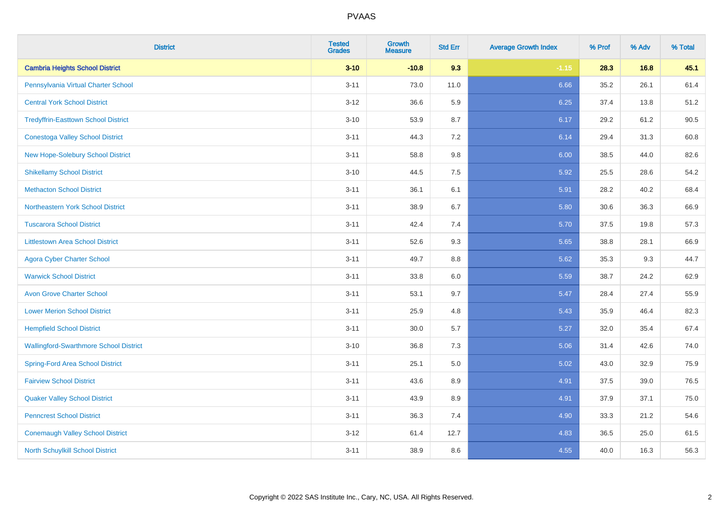| <b>District</b>                               | <b>Tested</b><br><b>Grades</b> | Growth<br>Measure | <b>Std Err</b> | <b>Average Growth Index</b> | % Prof | % Adv | % Total |
|-----------------------------------------------|--------------------------------|-------------------|----------------|-----------------------------|--------|-------|---------|
| <b>Cambria Heights School District</b>        | $3 - 10$                       | $-10.8$           | 9.3            | $-1.15$                     | 28.3   | 16.8  | 45.1    |
| Pennsylvania Virtual Charter School           | $3 - 11$                       | 73.0              | 11.0           | 6.66                        | 35.2   | 26.1  | 61.4    |
| <b>Central York School District</b>           | $3 - 12$                       | 36.6              | 5.9            | 6.25                        | 37.4   | 13.8  | 51.2    |
| <b>Tredyffrin-Easttown School District</b>    | $3 - 10$                       | 53.9              | 8.7            | 6.17                        | 29.2   | 61.2  | 90.5    |
| <b>Conestoga Valley School District</b>       | $3 - 11$                       | 44.3              | 7.2            | 6.14                        | 29.4   | 31.3  | 60.8    |
| <b>New Hope-Solebury School District</b>      | $3 - 11$                       | 58.8              | 9.8            | 6.00                        | 38.5   | 44.0  | 82.6    |
| <b>Shikellamy School District</b>             | $3 - 10$                       | 44.5              | 7.5            | 5.92                        | 25.5   | 28.6  | 54.2    |
| <b>Methacton School District</b>              | $3 - 11$                       | 36.1              | 6.1            | 5.91                        | 28.2   | 40.2  | 68.4    |
| Northeastern York School District             | $3 - 11$                       | 38.9              | 6.7            | 5.80                        | 30.6   | 36.3  | 66.9    |
| <b>Tuscarora School District</b>              | $3 - 11$                       | 42.4              | 7.4            | 5.70                        | 37.5   | 19.8  | 57.3    |
| <b>Littlestown Area School District</b>       | $3 - 11$                       | 52.6              | 9.3            | 5.65                        | 38.8   | 28.1  | 66.9    |
| <b>Agora Cyber Charter School</b>             | $3 - 11$                       | 49.7              | 8.8            | 5.62                        | 35.3   | 9.3   | 44.7    |
| <b>Warwick School District</b>                | $3 - 11$                       | 33.8              | $6.0\,$        | 5.59                        | 38.7   | 24.2  | 62.9    |
| <b>Avon Grove Charter School</b>              | $3 - 11$                       | 53.1              | 9.7            | 5.47                        | 28.4   | 27.4  | 55.9    |
| <b>Lower Merion School District</b>           | $3 - 11$                       | 25.9              | 4.8            | 5.43                        | 35.9   | 46.4  | 82.3    |
| <b>Hempfield School District</b>              | $3 - 11$                       | 30.0              | 5.7            | 5.27                        | 32.0   | 35.4  | 67.4    |
| <b>Wallingford-Swarthmore School District</b> | $3 - 10$                       | 36.8              | 7.3            | 5.06                        | 31.4   | 42.6  | 74.0    |
| <b>Spring-Ford Area School District</b>       | $3 - 11$                       | 25.1              | $5.0\,$        | 5.02                        | 43.0   | 32.9  | 75.9    |
| <b>Fairview School District</b>               | $3 - 11$                       | 43.6              | 8.9            | 4.91                        | 37.5   | 39.0  | 76.5    |
| <b>Quaker Valley School District</b>          | $3 - 11$                       | 43.9              | 8.9            | 4.91                        | 37.9   | 37.1  | 75.0    |
| <b>Penncrest School District</b>              | $3 - 11$                       | 36.3              | 7.4            | 4.90                        | 33.3   | 21.2  | 54.6    |
| <b>Conemaugh Valley School District</b>       | $3 - 12$                       | 61.4              | 12.7           | 4.83                        | 36.5   | 25.0  | 61.5    |
| <b>North Schuylkill School District</b>       | $3 - 11$                       | 38.9              | $8.6\,$        | 4.55                        | 40.0   | 16.3  | 56.3    |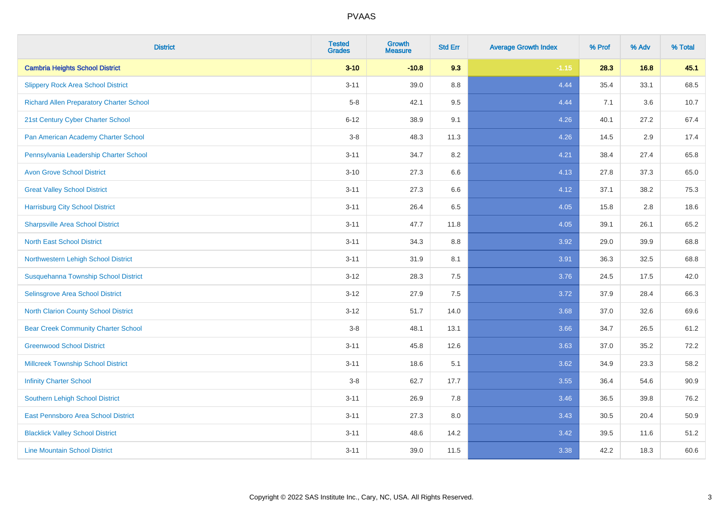| <b>District</b>                                 | <b>Tested</b><br><b>Grades</b> | Growth<br><b>Measure</b> | <b>Std Err</b> | <b>Average Growth Index</b> | % Prof | % Adv | % Total |
|-------------------------------------------------|--------------------------------|--------------------------|----------------|-----------------------------|--------|-------|---------|
| <b>Cambria Heights School District</b>          | $3 - 10$                       | $-10.8$                  | 9.3            | $-1.15$                     | 28.3   | 16.8  | 45.1    |
| <b>Slippery Rock Area School District</b>       | $3 - 11$                       | 39.0                     | 8.8            | 4.44                        | 35.4   | 33.1  | 68.5    |
| <b>Richard Allen Preparatory Charter School</b> | $5-8$                          | 42.1                     | 9.5            | 4.44                        | 7.1    | 3.6   | 10.7    |
| 21st Century Cyber Charter School               | $6 - 12$                       | 38.9                     | 9.1            | 4.26                        | 40.1   | 27.2  | 67.4    |
| Pan American Academy Charter School             | $3-8$                          | 48.3                     | 11.3           | 4.26                        | 14.5   | 2.9   | 17.4    |
| Pennsylvania Leadership Charter School          | $3 - 11$                       | 34.7                     | 8.2            | 4.21                        | 38.4   | 27.4  | 65.8    |
| <b>Avon Grove School District</b>               | $3 - 10$                       | 27.3                     | 6.6            | 4.13                        | 27.8   | 37.3  | 65.0    |
| <b>Great Valley School District</b>             | $3 - 11$                       | 27.3                     | 6.6            | 4.12                        | 37.1   | 38.2  | 75.3    |
| <b>Harrisburg City School District</b>          | $3 - 11$                       | 26.4                     | 6.5            | 4.05                        | 15.8   | 2.8   | 18.6    |
| <b>Sharpsville Area School District</b>         | $3 - 11$                       | 47.7                     | 11.8           | 4.05                        | 39.1   | 26.1  | 65.2    |
| <b>North East School District</b>               | $3 - 11$                       | 34.3                     | 8.8            | 3.92                        | 29.0   | 39.9  | 68.8    |
| Northwestern Lehigh School District             | $3 - 11$                       | 31.9                     | 8.1            | 3.91                        | 36.3   | 32.5  | 68.8    |
| Susquehanna Township School District            | $3 - 12$                       | 28.3                     | 7.5            | 3.76                        | 24.5   | 17.5  | 42.0    |
| Selinsgrove Area School District                | $3 - 12$                       | 27.9                     | 7.5            | 3.72                        | 37.9   | 28.4  | 66.3    |
| North Clarion County School District            | $3 - 12$                       | 51.7                     | 14.0           | 3.68                        | 37.0   | 32.6  | 69.6    |
| <b>Bear Creek Community Charter School</b>      | $3-8$                          | 48.1                     | 13.1           | 3.66                        | 34.7   | 26.5  | 61.2    |
| <b>Greenwood School District</b>                | $3 - 11$                       | 45.8                     | 12.6           | 3.63                        | 37.0   | 35.2  | 72.2    |
| <b>Millcreek Township School District</b>       | $3 - 11$                       | 18.6                     | 5.1            | 3.62                        | 34.9   | 23.3  | 58.2    |
| <b>Infinity Charter School</b>                  | $3-8$                          | 62.7                     | 17.7           | 3.55                        | 36.4   | 54.6  | 90.9    |
| <b>Southern Lehigh School District</b>          | $3 - 11$                       | 26.9                     | 7.8            | 3.46                        | 36.5   | 39.8  | 76.2    |
| East Pennsboro Area School District             | $3 - 11$                       | 27.3                     | 8.0            | 3.43                        | 30.5   | 20.4  | 50.9    |
| <b>Blacklick Valley School District</b>         | $3 - 11$                       | 48.6                     | 14.2           | 3.42                        | 39.5   | 11.6  | 51.2    |
| <b>Line Mountain School District</b>            | $3 - 11$                       | 39.0                     | 11.5           | 3.38                        | 42.2   | 18.3  | 60.6    |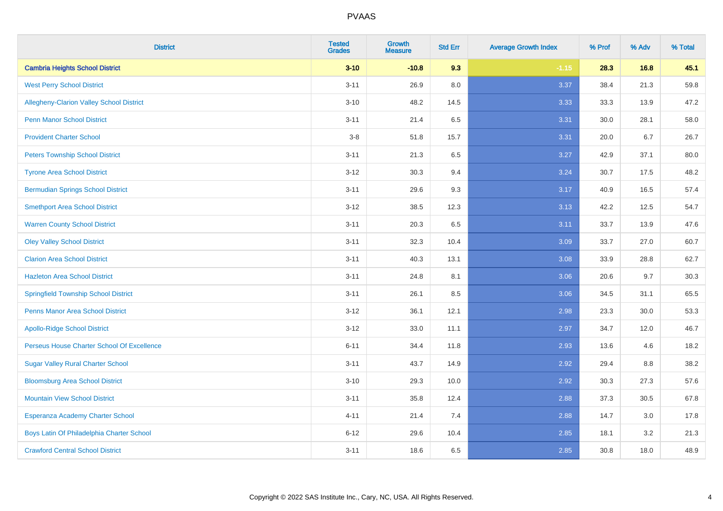| <b>District</b>                             | <b>Tested</b><br><b>Grades</b> | <b>Growth</b><br><b>Measure</b> | <b>Std Err</b> | <b>Average Growth Index</b> | % Prof | % Adv | % Total |
|---------------------------------------------|--------------------------------|---------------------------------|----------------|-----------------------------|--------|-------|---------|
| <b>Cambria Heights School District</b>      | $3 - 10$                       | $-10.8$                         | 9.3            | $-1.15$                     | 28.3   | 16.8  | 45.1    |
| <b>West Perry School District</b>           | $3 - 11$                       | 26.9                            | 8.0            | 3.37                        | 38.4   | 21.3  | 59.8    |
| Allegheny-Clarion Valley School District    | $3 - 10$                       | 48.2                            | 14.5           | 3.33                        | 33.3   | 13.9  | 47.2    |
| <b>Penn Manor School District</b>           | $3 - 11$                       | 21.4                            | 6.5            | 3.31                        | 30.0   | 28.1  | 58.0    |
| <b>Provident Charter School</b>             | $3-8$                          | 51.8                            | 15.7           | 3.31                        | 20.0   | 6.7   | 26.7    |
| <b>Peters Township School District</b>      | $3 - 11$                       | 21.3                            | 6.5            | 3.27                        | 42.9   | 37.1  | 80.0    |
| <b>Tyrone Area School District</b>          | $3 - 12$                       | 30.3                            | 9.4            | 3.24                        | 30.7   | 17.5  | 48.2    |
| <b>Bermudian Springs School District</b>    | $3 - 11$                       | 29.6                            | 9.3            | 3.17                        | 40.9   | 16.5  | 57.4    |
| <b>Smethport Area School District</b>       | $3 - 12$                       | 38.5                            | 12.3           | 3.13                        | 42.2   | 12.5  | 54.7    |
| <b>Warren County School District</b>        | $3 - 11$                       | 20.3                            | 6.5            | 3.11                        | 33.7   | 13.9  | 47.6    |
| <b>Oley Valley School District</b>          | $3 - 11$                       | 32.3                            | 10.4           | 3.09                        | 33.7   | 27.0  | 60.7    |
| <b>Clarion Area School District</b>         | $3 - 11$                       | 40.3                            | 13.1           | 3.08                        | 33.9   | 28.8  | 62.7    |
| <b>Hazleton Area School District</b>        | $3 - 11$                       | 24.8                            | 8.1            | 3.06                        | 20.6   | 9.7   | 30.3    |
| <b>Springfield Township School District</b> | $3 - 11$                       | 26.1                            | 8.5            | 3.06                        | 34.5   | 31.1  | 65.5    |
| <b>Penns Manor Area School District</b>     | $3 - 12$                       | 36.1                            | 12.1           | 2.98                        | 23.3   | 30.0  | 53.3    |
| <b>Apollo-Ridge School District</b>         | $3 - 12$                       | 33.0                            | 11.1           | 2.97                        | 34.7   | 12.0  | 46.7    |
| Perseus House Charter School Of Excellence  | $6 - 11$                       | 34.4                            | 11.8           | 2.93                        | 13.6   | 4.6   | 18.2    |
| <b>Sugar Valley Rural Charter School</b>    | $3 - 11$                       | 43.7                            | 14.9           | 2.92                        | 29.4   | 8.8   | 38.2    |
| <b>Bloomsburg Area School District</b>      | $3 - 10$                       | 29.3                            | 10.0           | 2.92                        | 30.3   | 27.3  | 57.6    |
| <b>Mountain View School District</b>        | $3 - 11$                       | 35.8                            | 12.4           | 2.88                        | 37.3   | 30.5  | 67.8    |
| Esperanza Academy Charter School            | $4 - 11$                       | 21.4                            | 7.4            | 2.88                        | 14.7   | 3.0   | 17.8    |
| Boys Latin Of Philadelphia Charter School   | $6 - 12$                       | 29.6                            | 10.4           | 2.85                        | 18.1   | 3.2   | 21.3    |
| <b>Crawford Central School District</b>     | $3 - 11$                       | 18.6                            | 6.5            | 2.85                        | 30.8   | 18.0  | 48.9    |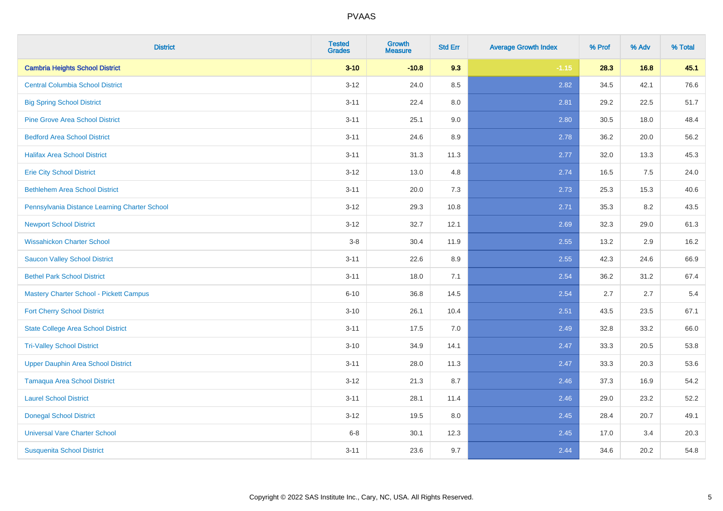| <b>District</b>                                | <b>Tested</b><br><b>Grades</b> | Growth<br>Measure | <b>Std Err</b> | <b>Average Growth Index</b> | % Prof | % Adv | % Total |
|------------------------------------------------|--------------------------------|-------------------|----------------|-----------------------------|--------|-------|---------|
| <b>Cambria Heights School District</b>         | $3 - 10$                       | $-10.8$           | 9.3            | $-1.15$                     | 28.3   | 16.8  | 45.1    |
| <b>Central Columbia School District</b>        | $3 - 12$                       | 24.0              | 8.5            | 2.82                        | 34.5   | 42.1  | 76.6    |
| <b>Big Spring School District</b>              | $3 - 11$                       | 22.4              | 8.0            | 2.81                        | 29.2   | 22.5  | 51.7    |
| <b>Pine Grove Area School District</b>         | $3 - 11$                       | 25.1              | 9.0            | 2.80                        | 30.5   | 18.0  | 48.4    |
| <b>Bedford Area School District</b>            | $3 - 11$                       | 24.6              | 8.9            | 2.78                        | 36.2   | 20.0  | 56.2    |
| <b>Halifax Area School District</b>            | $3 - 11$                       | 31.3              | 11.3           | 2.77                        | 32.0   | 13.3  | 45.3    |
| <b>Erie City School District</b>               | $3 - 12$                       | 13.0              | 4.8            | 2.74                        | 16.5   | 7.5   | 24.0    |
| <b>Bethlehem Area School District</b>          | $3 - 11$                       | 20.0              | 7.3            | 2.73                        | 25.3   | 15.3  | 40.6    |
| Pennsylvania Distance Learning Charter School  | $3-12$                         | 29.3              | 10.8           | 2.71                        | 35.3   | 8.2   | 43.5    |
| <b>Newport School District</b>                 | $3 - 12$                       | 32.7              | 12.1           | 2.69                        | 32.3   | 29.0  | 61.3    |
| <b>Wissahickon Charter School</b>              | $3-8$                          | 30.4              | 11.9           | 2.55                        | 13.2   | 2.9   | 16.2    |
| <b>Saucon Valley School District</b>           | $3 - 11$                       | 22.6              | 8.9            | 2.55                        | 42.3   | 24.6  | 66.9    |
| <b>Bethel Park School District</b>             | $3 - 11$                       | 18.0              | 7.1            | 2.54                        | 36.2   | 31.2  | 67.4    |
| <b>Mastery Charter School - Pickett Campus</b> | $6 - 10$                       | 36.8              | 14.5           | 2.54                        | 2.7    | 2.7   | 5.4     |
| <b>Fort Cherry School District</b>             | $3 - 10$                       | 26.1              | 10.4           | 2.51                        | 43.5   | 23.5  | 67.1    |
| <b>State College Area School District</b>      | $3 - 11$                       | 17.5              | 7.0            | 2.49                        | 32.8   | 33.2  | 66.0    |
| <b>Tri-Valley School District</b>              | $3 - 10$                       | 34.9              | 14.1           | 2.47                        | 33.3   | 20.5  | 53.8    |
| Upper Dauphin Area School District             | $3 - 11$                       | 28.0              | 11.3           | 2.47                        | 33.3   | 20.3  | 53.6    |
| <b>Tamaqua Area School District</b>            | $3 - 12$                       | 21.3              | 8.7            | 2.46                        | 37.3   | 16.9  | 54.2    |
| <b>Laurel School District</b>                  | $3 - 11$                       | 28.1              | 11.4           | 2.46                        | 29.0   | 23.2  | 52.2    |
| <b>Donegal School District</b>                 | $3 - 12$                       | 19.5              | 8.0            | 2.45                        | 28.4   | 20.7  | 49.1    |
| <b>Universal Vare Charter School</b>           | $6 - 8$                        | 30.1              | 12.3           | 2.45                        | 17.0   | 3.4   | 20.3    |
| <b>Susquenita School District</b>              | $3 - 11$                       | 23.6              | 9.7            | 2.44                        | 34.6   | 20.2  | 54.8    |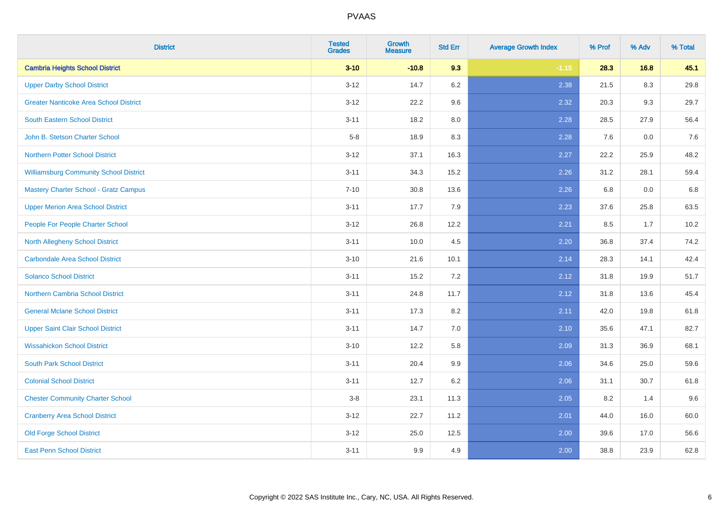| <b>District</b>                               | <b>Tested</b><br><b>Grades</b> | <b>Growth</b><br><b>Measure</b> | <b>Std Err</b> | <b>Average Growth Index</b> | % Prof | % Adv | % Total |
|-----------------------------------------------|--------------------------------|---------------------------------|----------------|-----------------------------|--------|-------|---------|
| <b>Cambria Heights School District</b>        | $3 - 10$                       | $-10.8$                         | 9.3            | $-1.15$                     | 28.3   | 16.8  | 45.1    |
| <b>Upper Darby School District</b>            | $3 - 12$                       | 14.7                            | $6.2\,$        | 2.38                        | 21.5   | 8.3   | 29.8    |
| <b>Greater Nanticoke Area School District</b> | $3 - 12$                       | 22.2                            | 9.6            | 2.32                        | 20.3   | 9.3   | 29.7    |
| <b>South Eastern School District</b>          | $3 - 11$                       | 18.2                            | 8.0            | 2.28                        | 28.5   | 27.9  | 56.4    |
| John B. Stetson Charter School                | $5-8$                          | 18.9                            | 8.3            | 2.28                        | 7.6    | 0.0   | 7.6     |
| <b>Northern Potter School District</b>        | $3 - 12$                       | 37.1                            | 16.3           | 2.27                        | 22.2   | 25.9  | 48.2    |
| <b>Williamsburg Community School District</b> | $3 - 11$                       | 34.3                            | 15.2           | 2.26                        | 31.2   | 28.1  | 59.4    |
| <b>Mastery Charter School - Gratz Campus</b>  | $7 - 10$                       | 30.8                            | 13.6           | 2.26                        | 6.8    | 0.0   | 6.8     |
| <b>Upper Merion Area School District</b>      | $3 - 11$                       | 17.7                            | 7.9            | 2.23                        | 37.6   | 25.8  | 63.5    |
| People For People Charter School              | $3-12$                         | 26.8                            | 12.2           | 2.21                        | 8.5    | 1.7   | 10.2    |
| North Allegheny School District               | $3 - 11$                       | 10.0                            | 4.5            | 2.20                        | 36.8   | 37.4  | 74.2    |
| <b>Carbondale Area School District</b>        | $3 - 10$                       | 21.6                            | 10.1           | 2.14                        | 28.3   | 14.1  | 42.4    |
| <b>Solanco School District</b>                | $3 - 11$                       | 15.2                            | 7.2            | 2.12                        | 31.8   | 19.9  | 51.7    |
| <b>Northern Cambria School District</b>       | $3 - 11$                       | 24.8                            | 11.7           | 2.12                        | 31.8   | 13.6  | 45.4    |
| <b>General Mclane School District</b>         | $3 - 11$                       | 17.3                            | 8.2            | 2.11                        | 42.0   | 19.8  | 61.8    |
| <b>Upper Saint Clair School District</b>      | $3 - 11$                       | 14.7                            | 7.0            | 2.10                        | 35.6   | 47.1  | 82.7    |
| <b>Wissahickon School District</b>            | $3 - 10$                       | 12.2                            | 5.8            | 2.09                        | 31.3   | 36.9  | 68.1    |
| <b>South Park School District</b>             | $3 - 11$                       | 20.4                            | 9.9            | 2.06                        | 34.6   | 25.0  | 59.6    |
| <b>Colonial School District</b>               | $3 - 11$                       | 12.7                            | $6.2\,$        | 2.06                        | 31.1   | 30.7  | 61.8    |
| <b>Chester Community Charter School</b>       | $3-8$                          | 23.1                            | 11.3           | 2.05                        | 8.2    | 1.4   | 9.6     |
| <b>Cranberry Area School District</b>         | $3 - 12$                       | 22.7                            | 11.2           | 2.01                        | 44.0   | 16.0  | 60.0    |
| <b>Old Forge School District</b>              | $3 - 12$                       | 25.0                            | 12.5           | 2.00                        | 39.6   | 17.0  | 56.6    |
| <b>East Penn School District</b>              | $3 - 11$                       | 9.9                             | 4.9            | 2.00                        | 38.8   | 23.9  | 62.8    |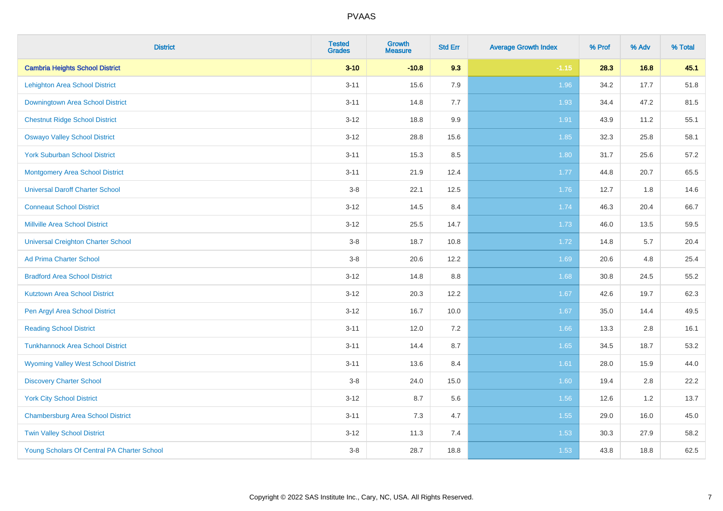| <b>District</b>                             | <b>Tested</b><br><b>Grades</b> | <b>Growth</b><br><b>Measure</b> | <b>Std Err</b> | <b>Average Growth Index</b> | % Prof | % Adv | % Total |
|---------------------------------------------|--------------------------------|---------------------------------|----------------|-----------------------------|--------|-------|---------|
| <b>Cambria Heights School District</b>      | $3 - 10$                       | $-10.8$                         | 9.3            | $-1.15$                     | 28.3   | 16.8  | 45.1    |
| <b>Lehighton Area School District</b>       | $3 - 11$                       | 15.6                            | 7.9            | 1.96                        | 34.2   | 17.7  | 51.8    |
| Downingtown Area School District            | $3 - 11$                       | 14.8                            | 7.7            | 1.93                        | 34.4   | 47.2  | 81.5    |
| <b>Chestnut Ridge School District</b>       | $3 - 12$                       | 18.8                            | 9.9            | 1.91                        | 43.9   | 11.2  | 55.1    |
| <b>Oswayo Valley School District</b>        | $3 - 12$                       | 28.8                            | 15.6           | 1.85                        | 32.3   | 25.8  | 58.1    |
| <b>York Suburban School District</b>        | $3 - 11$                       | 15.3                            | 8.5            | 1.80                        | 31.7   | 25.6  | 57.2    |
| <b>Montgomery Area School District</b>      | $3 - 11$                       | 21.9                            | 12.4           | 1.77                        | 44.8   | 20.7  | 65.5    |
| <b>Universal Daroff Charter School</b>      | $3-8$                          | 22.1                            | 12.5           | 1.76                        | 12.7   | 1.8   | 14.6    |
| <b>Conneaut School District</b>             | $3-12$                         | 14.5                            | 8.4            | 1.74                        | 46.3   | 20.4  | 66.7    |
| <b>Millville Area School District</b>       | $3 - 12$                       | 25.5                            | 14.7           | 1.73                        | 46.0   | 13.5  | 59.5    |
| <b>Universal Creighton Charter School</b>   | $3-8$                          | 18.7                            | 10.8           | 1.72                        | 14.8   | 5.7   | 20.4    |
| <b>Ad Prima Charter School</b>              | $3-8$                          | 20.6                            | 12.2           | 1.69                        | 20.6   | 4.8   | 25.4    |
| <b>Bradford Area School District</b>        | $3 - 12$                       | 14.8                            | $8.8\,$        | 1.68                        | 30.8   | 24.5  | 55.2    |
| <b>Kutztown Area School District</b>        | $3 - 12$                       | 20.3                            | 12.2           | 1.67                        | 42.6   | 19.7  | 62.3    |
| Pen Argyl Area School District              | $3 - 12$                       | 16.7                            | 10.0           | 1.67                        | 35.0   | 14.4  | 49.5    |
| <b>Reading School District</b>              | $3 - 11$                       | 12.0                            | 7.2            | 1.66                        | 13.3   | 2.8   | 16.1    |
| <b>Tunkhannock Area School District</b>     | $3 - 11$                       | 14.4                            | 8.7            | 1.65                        | 34.5   | 18.7  | 53.2    |
| <b>Wyoming Valley West School District</b>  | $3 - 11$                       | 13.6                            | 8.4            | 1.61                        | 28.0   | 15.9  | 44.0    |
| <b>Discovery Charter School</b>             | $3-8$                          | 24.0                            | 15.0           | 1.60                        | 19.4   | 2.8   | 22.2    |
| <b>York City School District</b>            | $3 - 12$                       | 8.7                             | 5.6            | 1.56                        | 12.6   | 1.2   | 13.7    |
| <b>Chambersburg Area School District</b>    | $3 - 11$                       | $7.3$                           | 4.7            | 1.55                        | 29.0   | 16.0  | 45.0    |
| <b>Twin Valley School District</b>          | $3 - 12$                       | 11.3                            | 7.4            | 1.53                        | 30.3   | 27.9  | 58.2    |
| Young Scholars Of Central PA Charter School | $3-8$                          | 28.7                            | 18.8           | 1.53                        | 43.8   | 18.8  | 62.5    |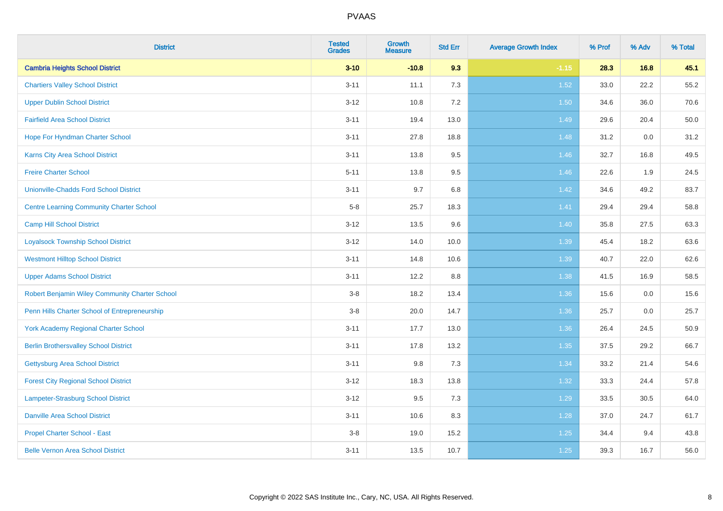| <b>District</b>                                 | <b>Tested</b><br><b>Grades</b> | <b>Growth</b><br><b>Measure</b> | <b>Std Err</b> | <b>Average Growth Index</b> | % Prof | % Adv | % Total |
|-------------------------------------------------|--------------------------------|---------------------------------|----------------|-----------------------------|--------|-------|---------|
| <b>Cambria Heights School District</b>          | $3 - 10$                       | $-10.8$                         | 9.3            | $-1.15$                     | 28.3   | 16.8  | 45.1    |
| <b>Chartiers Valley School District</b>         | $3 - 11$                       | 11.1                            | 7.3            | $1.52$                      | 33.0   | 22.2  | 55.2    |
| <b>Upper Dublin School District</b>             | $3 - 12$                       | 10.8                            | 7.2            | 1.50                        | 34.6   | 36.0  | 70.6    |
| <b>Fairfield Area School District</b>           | $3 - 11$                       | 19.4                            | 13.0           | 1.49                        | 29.6   | 20.4  | 50.0    |
| Hope For Hyndman Charter School                 | $3 - 11$                       | 27.8                            | 18.8           | 1.48                        | 31.2   | 0.0   | 31.2    |
| Karns City Area School District                 | $3 - 11$                       | 13.8                            | $9.5\,$        | 1.46                        | 32.7   | 16.8  | 49.5    |
| <b>Freire Charter School</b>                    | $5 - 11$                       | 13.8                            | 9.5            | 1.46                        | 22.6   | 1.9   | 24.5    |
| <b>Unionville-Chadds Ford School District</b>   | $3 - 11$                       | 9.7                             | 6.8            | 1.42                        | 34.6   | 49.2  | 83.7    |
| <b>Centre Learning Community Charter School</b> | $5-8$                          | 25.7                            | 18.3           | 1.41                        | 29.4   | 29.4  | 58.8    |
| <b>Camp Hill School District</b>                | $3 - 12$                       | 13.5                            | 9.6            | 1.40                        | 35.8   | 27.5  | 63.3    |
| <b>Loyalsock Township School District</b>       | $3 - 12$                       | 14.0                            | 10.0           | 1.39                        | 45.4   | 18.2  | 63.6    |
| <b>Westmont Hilltop School District</b>         | $3 - 11$                       | 14.8                            | 10.6           | 1.39                        | 40.7   | 22.0  | 62.6    |
| <b>Upper Adams School District</b>              | $3 - 11$                       | 12.2                            | 8.8            | 1.38                        | 41.5   | 16.9  | 58.5    |
| Robert Benjamin Wiley Community Charter School  | $3-8$                          | 18.2                            | 13.4           | 1.36                        | 15.6   | 0.0   | 15.6    |
| Penn Hills Charter School of Entrepreneurship   | $3-8$                          | 20.0                            | 14.7           | 1.36                        | 25.7   | 0.0   | 25.7    |
| <b>York Academy Regional Charter School</b>     | $3 - 11$                       | 17.7                            | 13.0           | 1.36                        | 26.4   | 24.5  | 50.9    |
| <b>Berlin Brothersvalley School District</b>    | $3 - 11$                       | 17.8                            | 13.2           | 1.35                        | 37.5   | 29.2  | 66.7    |
| Gettysburg Area School District                 | $3 - 11$                       | 9.8                             | 7.3            | 1.34                        | 33.2   | 21.4  | 54.6    |
| <b>Forest City Regional School District</b>     | $3 - 12$                       | 18.3                            | 13.8           | 1.32                        | 33.3   | 24.4  | 57.8    |
| <b>Lampeter-Strasburg School District</b>       | $3-12$                         | 9.5                             | 7.3            | 1.29                        | 33.5   | 30.5  | 64.0    |
| <b>Danville Area School District</b>            | $3 - 11$                       | 10.6                            | 8.3            | 1.28                        | 37.0   | 24.7  | 61.7    |
| Propel Charter School - East                    | $3-8$                          | 19.0                            | 15.2           | $1.25$                      | 34.4   | 9.4   | 43.8    |
| <b>Belle Vernon Area School District</b>        | $3 - 11$                       | 13.5                            | 10.7           | $1.25$                      | 39.3   | 16.7  | 56.0    |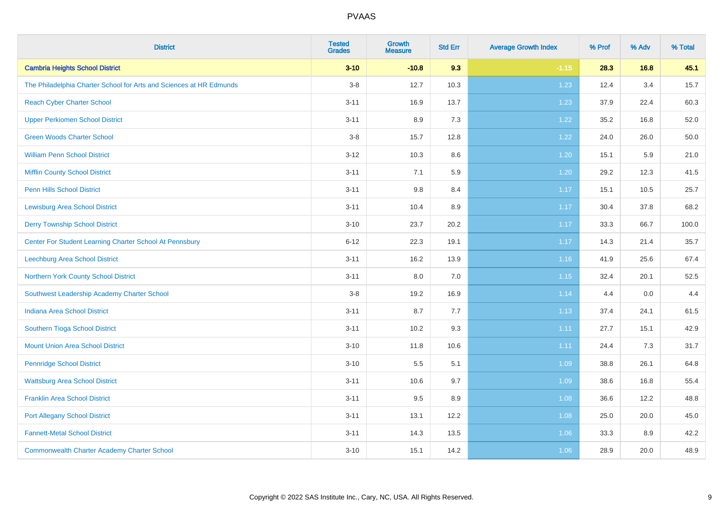| <b>District</b>                                                     | <b>Tested</b><br><b>Grades</b> | <b>Growth</b><br><b>Measure</b> | <b>Std Err</b> | <b>Average Growth Index</b> | % Prof | % Adv | % Total |
|---------------------------------------------------------------------|--------------------------------|---------------------------------|----------------|-----------------------------|--------|-------|---------|
| <b>Cambria Heights School District</b>                              | $3 - 10$                       | $-10.8$                         | 9.3            | $-1.15$                     | 28.3   | 16.8  | 45.1    |
| The Philadelphia Charter School for Arts and Sciences at HR Edmunds | $3-8$                          | 12.7                            | 10.3           | 1.23                        | 12.4   | 3.4   | 15.7    |
| <b>Reach Cyber Charter School</b>                                   | $3 - 11$                       | 16.9                            | 13.7           | 1.23                        | 37.9   | 22.4  | 60.3    |
| <b>Upper Perkiomen School District</b>                              | $3 - 11$                       | 8.9                             | 7.3            | 1.22                        | 35.2   | 16.8  | 52.0    |
| <b>Green Woods Charter School</b>                                   | $3-8$                          | 15.7                            | 12.8           | 1.22                        | 24.0   | 26.0  | 50.0    |
| <b>William Penn School District</b>                                 | $3 - 12$                       | 10.3                            | $8.6\,$        | 1.20                        | 15.1   | 5.9   | 21.0    |
| <b>Mifflin County School District</b>                               | $3 - 11$                       | 7.1                             | 5.9            | $1.20$                      | 29.2   | 12.3  | 41.5    |
| <b>Penn Hills School District</b>                                   | $3 - 11$                       | 9.8                             | 8.4            | 1.17                        | 15.1   | 10.5  | 25.7    |
| <b>Lewisburg Area School District</b>                               | $3 - 11$                       | 10.4                            | 8.9            | 1.17                        | 30.4   | 37.8  | 68.2    |
| <b>Derry Township School District</b>                               | $3 - 10$                       | 23.7                            | 20.2           | 1.17                        | 33.3   | 66.7  | 100.0   |
| Center For Student Learning Charter School At Pennsbury             | $6 - 12$                       | 22.3                            | 19.1           | 1.17                        | 14.3   | 21.4  | 35.7    |
| Leechburg Area School District                                      | $3 - 11$                       | 16.2                            | 13.9           | 1.16                        | 41.9   | 25.6  | 67.4    |
| Northern York County School District                                | $3 - 11$                       | 8.0                             | 7.0            | 1.15                        | 32.4   | 20.1  | 52.5    |
| Southwest Leadership Academy Charter School                         | $3-8$                          | 19.2                            | 16.9           | 1.14                        | 4.4    | 0.0   | 4.4     |
| <b>Indiana Area School District</b>                                 | $3 - 11$                       | 8.7                             | 7.7            | 1.13                        | 37.4   | 24.1  | 61.5    |
| Southern Tioga School District                                      | $3 - 11$                       | 10.2                            | 9.3            | 1.11                        | 27.7   | 15.1  | 42.9    |
| <b>Mount Union Area School District</b>                             | $3 - 10$                       | 11.8                            | 10.6           | 1.11                        | 24.4   | 7.3   | 31.7    |
| <b>Pennridge School District</b>                                    | $3 - 10$                       | $5.5\,$                         | 5.1            | 1.09                        | 38.8   | 26.1  | 64.8    |
| <b>Wattsburg Area School District</b>                               | $3 - 11$                       | 10.6                            | 9.7            | 1.09                        | 38.6   | 16.8  | 55.4    |
| <b>Franklin Area School District</b>                                | $3 - 11$                       | 9.5                             | 8.9            | 1.08                        | 36.6   | 12.2  | 48.8    |
| <b>Port Allegany School District</b>                                | $3 - 11$                       | 13.1                            | 12.2           | 1.08                        | 25.0   | 20.0  | 45.0    |
| <b>Fannett-Metal School District</b>                                | $3 - 11$                       | 14.3                            | 13.5           | 1.06                        | 33.3   | 8.9   | 42.2    |
| <b>Commonwealth Charter Academy Charter School</b>                  | $3 - 10$                       | 15.1                            | 14.2           | 1.06                        | 28.9   | 20.0  | 48.9    |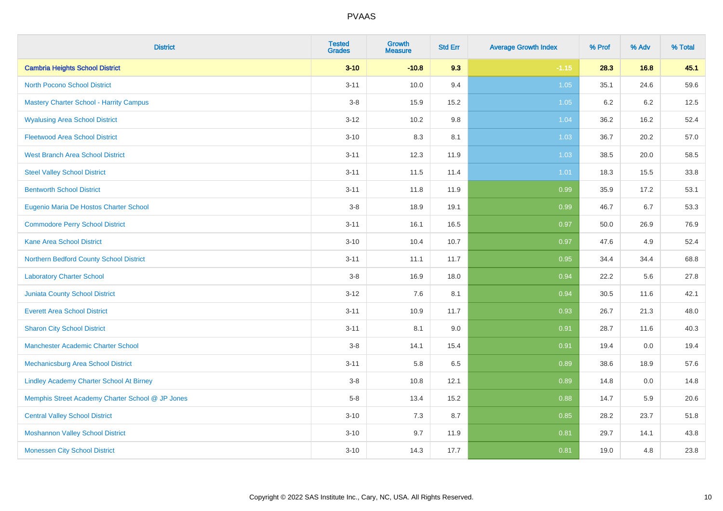| <b>District</b>                                  | <b>Tested</b><br><b>Grades</b> | Growth<br><b>Measure</b> | <b>Std Err</b> | <b>Average Growth Index</b> | % Prof | % Adv | % Total |
|--------------------------------------------------|--------------------------------|--------------------------|----------------|-----------------------------|--------|-------|---------|
| <b>Cambria Heights School District</b>           | $3 - 10$                       | $-10.8$                  | 9.3            | $-1.15$                     | 28.3   | 16.8  | 45.1    |
| <b>North Pocono School District</b>              | $3 - 11$                       | 10.0                     | 9.4            | 1.05                        | 35.1   | 24.6  | 59.6    |
| <b>Mastery Charter School - Harrity Campus</b>   | $3 - 8$                        | 15.9                     | 15.2           | 1.05                        | 6.2    | 6.2   | 12.5    |
| <b>Wyalusing Area School District</b>            | $3 - 12$                       | 10.2                     | 9.8            | 1.04                        | 36.2   | 16.2  | 52.4    |
| <b>Fleetwood Area School District</b>            | $3 - 10$                       | 8.3                      | 8.1            | 1.03                        | 36.7   | 20.2  | 57.0    |
| <b>West Branch Area School District</b>          | $3 - 11$                       | 12.3                     | 11.9           | 1.03                        | 38.5   | 20.0  | 58.5    |
| <b>Steel Valley School District</b>              | $3 - 11$                       | 11.5                     | 11.4           | 1.01                        | 18.3   | 15.5  | 33.8    |
| <b>Bentworth School District</b>                 | $3 - 11$                       | 11.8                     | 11.9           | 0.99                        | 35.9   | 17.2  | 53.1    |
| Eugenio Maria De Hostos Charter School           | $3-8$                          | 18.9                     | 19.1           | 0.99                        | 46.7   | 6.7   | 53.3    |
| <b>Commodore Perry School District</b>           | $3 - 11$                       | 16.1                     | 16.5           | 0.97                        | 50.0   | 26.9  | 76.9    |
| <b>Kane Area School District</b>                 | $3 - 10$                       | 10.4                     | 10.7           | 0.97                        | 47.6   | 4.9   | 52.4    |
| Northern Bedford County School District          | $3 - 11$                       | 11.1                     | 11.7           | 0.95                        | 34.4   | 34.4  | 68.8    |
| <b>Laboratory Charter School</b>                 | $3-8$                          | 16.9                     | 18.0           | 0.94                        | 22.2   | 5.6   | 27.8    |
| Juniata County School District                   | $3 - 12$                       | 7.6                      | 8.1            | 0.94                        | 30.5   | 11.6  | 42.1    |
| <b>Everett Area School District</b>              | $3 - 11$                       | 10.9                     | 11.7           | 0.93                        | 26.7   | 21.3  | 48.0    |
| <b>Sharon City School District</b>               | $3 - 11$                       | 8.1                      | 9.0            | 0.91                        | 28.7   | 11.6  | 40.3    |
| <b>Manchester Academic Charter School</b>        | $3-8$                          | 14.1                     | 15.4           | 0.91                        | 19.4   | 0.0   | 19.4    |
| <b>Mechanicsburg Area School District</b>        | $3 - 11$                       | 5.8                      | 6.5            | 0.89                        | 38.6   | 18.9  | 57.6    |
| <b>Lindley Academy Charter School At Birney</b>  | $3 - 8$                        | 10.8                     | 12.1           | 0.89                        | 14.8   | 0.0   | 14.8    |
| Memphis Street Academy Charter School @ JP Jones | $5-8$                          | 13.4                     | 15.2           | 0.88                        | 14.7   | 5.9   | 20.6    |
| <b>Central Valley School District</b>            | $3 - 10$                       | 7.3                      | 8.7            | 0.85                        | 28.2   | 23.7  | 51.8    |
| <b>Moshannon Valley School District</b>          | $3 - 10$                       | 9.7                      | 11.9           | 0.81                        | 29.7   | 14.1  | 43.8    |
| <b>Monessen City School District</b>             | $3 - 10$                       | 14.3                     | 17.7           | 0.81                        | 19.0   | 4.8   | 23.8    |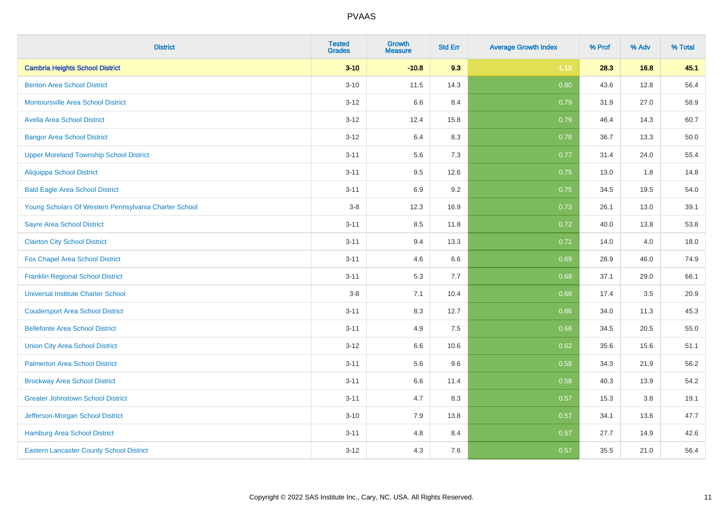| <b>District</b>                                       | <b>Tested</b><br><b>Grades</b> | Growth<br><b>Measure</b> | <b>Std Err</b> | <b>Average Growth Index</b> | % Prof | % Adv | % Total |
|-------------------------------------------------------|--------------------------------|--------------------------|----------------|-----------------------------|--------|-------|---------|
| <b>Cambria Heights School District</b>                | $3 - 10$                       | $-10.8$                  | 9.3            | $-1.15$                     | 28.3   | 16.8  | 45.1    |
| <b>Benton Area School District</b>                    | $3 - 10$                       | 11.5                     | 14.3           | 0.80                        | 43.6   | 12.8  | 56.4    |
| <b>Montoursville Area School District</b>             | $3 - 12$                       | 6.6                      | 8.4            | 0.79                        | 31.9   | 27.0  | 58.9    |
| <b>Avella Area School District</b>                    | $3 - 12$                       | 12.4                     | 15.8           | 0.79                        | 46.4   | 14.3  | 60.7    |
| <b>Bangor Area School District</b>                    | $3 - 12$                       | 6.4                      | 8.3            | 0.78                        | 36.7   | 13.3  | 50.0    |
| <b>Upper Moreland Township School District</b>        | $3 - 11$                       | 5.6                      | 7.3            | 0.77                        | 31.4   | 24.0  | 55.4    |
| <b>Aliquippa School District</b>                      | $3 - 11$                       | 9.5                      | 12.6           | 0.75                        | 13.0   | 1.8   | 14.8    |
| <b>Bald Eagle Area School District</b>                | $3 - 11$                       | 6.9                      | 9.2            | 0.75                        | 34.5   | 19.5  | 54.0    |
| Young Scholars Of Western Pennsylvania Charter School | $3-8$                          | 12.3                     | 16.9           | 0.73                        | 26.1   | 13.0  | 39.1    |
| <b>Sayre Area School District</b>                     | $3 - 11$                       | 8.5                      | 11.8           | 0.72                        | 40.0   | 13.8  | 53.8    |
| <b>Clairton City School District</b>                  | $3 - 11$                       | 9.4                      | 13.3           | 0.71                        | 14.0   | 4.0   | 18.0    |
| Fox Chapel Area School District                       | $3 - 11$                       | 4.6                      | 6.6            | 0.69                        | 28.9   | 46.0  | 74.9    |
| <b>Franklin Regional School District</b>              | $3 - 11$                       | 5.3                      | 7.7            | 0.69                        | 37.1   | 29.0  | 66.1    |
| <b>Universal Institute Charter School</b>             | $3 - 8$                        | 7.1                      | 10.4           | 0.68                        | 17.4   | 3.5   | 20.9    |
| <b>Coudersport Area School District</b>               | $3 - 11$                       | 8.3                      | 12.7           | 0.66                        | 34.0   | 11.3  | 45.3    |
| <b>Bellefonte Area School District</b>                | $3 - 11$                       | 4.9                      | 7.5            | 0.66                        | 34.5   | 20.5  | 55.0    |
| <b>Union City Area School District</b>                | $3 - 12$                       | 6.6                      | 10.6           | 0.62                        | 35.6   | 15.6  | 51.1    |
| <b>Palmerton Area School District</b>                 | $3 - 11$                       | 5.6                      | 9.6            | 0.58                        | 34.3   | 21.9  | 56.2    |
| <b>Brockway Area School District</b>                  | $3 - 11$                       | 6.6                      | 11.4           | 0.58                        | 40.3   | 13.9  | 54.2    |
| <b>Greater Johnstown School District</b>              | $3 - 11$                       | 4.7                      | 8.3            | 0.57                        | 15.3   | 3.8   | 19.1    |
| Jefferson-Morgan School District                      | $3 - 10$                       | 7.9                      | 13.8           | 0.57                        | 34.1   | 13.6  | 47.7    |
| Hamburg Area School District                          | $3 - 11$                       | $4.8\,$                  | 8.4            | 0.57                        | 27.7   | 14.9  | 42.6    |
| <b>Eastern Lancaster County School District</b>       | $3 - 12$                       | 4.3                      | 7.6            | 0.57                        | 35.5   | 21.0  | 56.4    |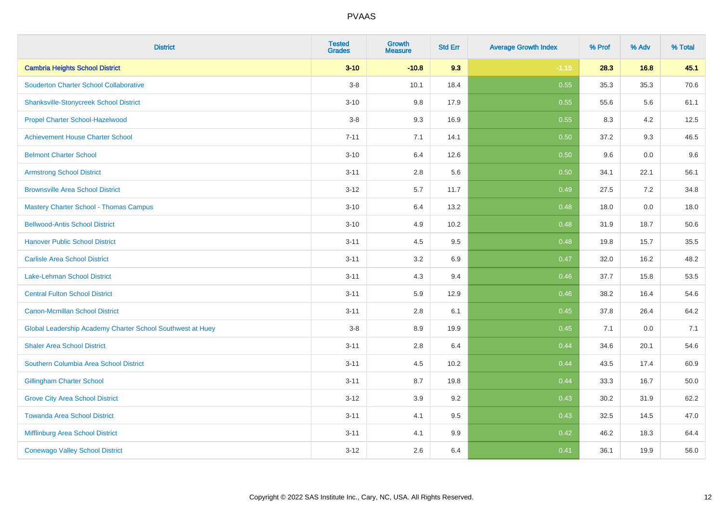| <b>District</b>                                            | <b>Tested</b><br><b>Grades</b> | Growth<br><b>Measure</b> | <b>Std Err</b> | <b>Average Growth Index</b> | % Prof | % Adv | % Total |
|------------------------------------------------------------|--------------------------------|--------------------------|----------------|-----------------------------|--------|-------|---------|
| <b>Cambria Heights School District</b>                     | $3 - 10$                       | $-10.8$                  | 9.3            | $-1.15$                     | 28.3   | 16.8  | 45.1    |
| <b>Souderton Charter School Collaborative</b>              | $3-8$                          | 10.1                     | 18.4           | 0.55                        | 35.3   | 35.3  | 70.6    |
| <b>Shanksville-Stonycreek School District</b>              | $3 - 10$                       | 9.8                      | 17.9           | 0.55                        | 55.6   | 5.6   | 61.1    |
| Propel Charter School-Hazelwood                            | $3-8$                          | 9.3                      | 16.9           | 0.55                        | 8.3    | 4.2   | 12.5    |
| <b>Achievement House Charter School</b>                    | $7 - 11$                       | 7.1                      | 14.1           | 0.50                        | 37.2   | 9.3   | 46.5    |
| <b>Belmont Charter School</b>                              | $3 - 10$                       | 6.4                      | 12.6           | 0.50                        | 9.6    | 0.0   | 9.6     |
| <b>Armstrong School District</b>                           | $3 - 11$                       | $2.8\,$                  | 5.6            | 0.50                        | 34.1   | 22.1  | 56.1    |
| <b>Brownsville Area School District</b>                    | $3 - 12$                       | 5.7                      | 11.7           | 0.49                        | 27.5   | 7.2   | 34.8    |
| <b>Mastery Charter School - Thomas Campus</b>              | $3 - 10$                       | 6.4                      | 13.2           | 0.48                        | 18.0   | 0.0   | 18.0    |
| <b>Bellwood-Antis School District</b>                      | $3 - 10$                       | 4.9                      | 10.2           | 0.48                        | 31.9   | 18.7  | 50.6    |
| <b>Hanover Public School District</b>                      | $3 - 11$                       | 4.5                      | 9.5            | 0.48                        | 19.8   | 15.7  | 35.5    |
| <b>Carlisle Area School District</b>                       | $3 - 11$                       | 3.2                      | 6.9            | 0.47                        | 32.0   | 16.2  | 48.2    |
| Lake-Lehman School District                                | $3 - 11$                       | 4.3                      | 9.4            | 0.46                        | 37.7   | 15.8  | 53.5    |
| <b>Central Fulton School District</b>                      | $3 - 11$                       | 5.9                      | 12.9           | 0.46                        | 38.2   | 16.4  | 54.6    |
| <b>Canon-Mcmillan School District</b>                      | $3 - 11$                       | 2.8                      | 6.1            | 0.45                        | 37.8   | 26.4  | 64.2    |
| Global Leadership Academy Charter School Southwest at Huey | $3-8$                          | 8.9                      | 19.9           | 0.45                        | 7.1    | 0.0   | 7.1     |
| <b>Shaler Area School District</b>                         | $3 - 11$                       | 2.8                      | 6.4            | 0.44                        | 34.6   | 20.1  | 54.6    |
| Southern Columbia Area School District                     | $3 - 11$                       | 4.5                      | 10.2           | 0.44                        | 43.5   | 17.4  | 60.9    |
| <b>Gillingham Charter School</b>                           | $3 - 11$                       | 8.7                      | 19.8           | 0.44                        | 33.3   | 16.7  | 50.0    |
| <b>Grove City Area School District</b>                     | $3 - 12$                       | 3.9                      | 9.2            | 0.43                        | 30.2   | 31.9  | 62.2    |
| <b>Towanda Area School District</b>                        | $3 - 11$                       | 4.1                      | 9.5            | 0.43                        | 32.5   | 14.5  | 47.0    |
| <b>Mifflinburg Area School District</b>                    | $3 - 11$                       | 4.1                      | 9.9            | 0.42                        | 46.2   | 18.3  | 64.4    |
| <b>Conewago Valley School District</b>                     | $3 - 12$                       | 2.6                      | 6.4            | 0.41                        | 36.1   | 19.9  | 56.0    |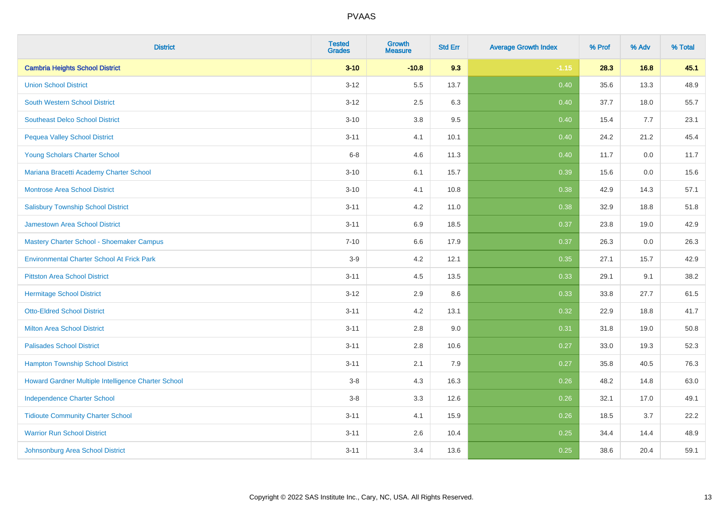| <b>District</b>                                     | <b>Tested</b><br><b>Grades</b> | Growth<br><b>Measure</b> | <b>Std Err</b> | <b>Average Growth Index</b> | % Prof | % Adv | % Total |
|-----------------------------------------------------|--------------------------------|--------------------------|----------------|-----------------------------|--------|-------|---------|
| <b>Cambria Heights School District</b>              | $3 - 10$                       | $-10.8$                  | 9.3            | $-1.15$                     | 28.3   | 16.8  | 45.1    |
| <b>Union School District</b>                        | $3 - 12$                       | 5.5                      | 13.7           | 0.40                        | 35.6   | 13.3  | 48.9    |
| <b>South Western School District</b>                | $3 - 12$                       | 2.5                      | 6.3            | 0.40                        | 37.7   | 18.0  | 55.7    |
| <b>Southeast Delco School District</b>              | $3 - 10$                       | 3.8                      | 9.5            | 0.40                        | 15.4   | 7.7   | 23.1    |
| <b>Pequea Valley School District</b>                | $3 - 11$                       | 4.1                      | 10.1           | 0.40                        | 24.2   | 21.2  | 45.4    |
| Young Scholars Charter School                       | $6-8$                          | 4.6                      | 11.3           | 0.40                        | 11.7   | 0.0   | 11.7    |
| Mariana Bracetti Academy Charter School             | $3 - 10$                       | 6.1                      | 15.7           | 0.39                        | 15.6   | 0.0   | 15.6    |
| <b>Montrose Area School District</b>                | $3 - 10$                       | 4.1                      | 10.8           | 0.38                        | 42.9   | 14.3  | 57.1    |
| <b>Salisbury Township School District</b>           | $3 - 11$                       | 4.2                      | 11.0           | 0.38                        | 32.9   | 18.8  | 51.8    |
| <b>Jamestown Area School District</b>               | $3 - 11$                       | 6.9                      | 18.5           | 0.37                        | 23.8   | 19.0  | 42.9    |
| Mastery Charter School - Shoemaker Campus           | $7 - 10$                       | 6.6                      | 17.9           | 0.37                        | 26.3   | 0.0   | 26.3    |
| <b>Environmental Charter School At Frick Park</b>   | $3-9$                          | 4.2                      | 12.1           | 0.35                        | 27.1   | 15.7  | 42.9    |
| <b>Pittston Area School District</b>                | $3 - 11$                       | 4.5                      | 13.5           | 0.33                        | 29.1   | 9.1   | 38.2    |
| <b>Hermitage School District</b>                    | $3 - 12$                       | 2.9                      | 8.6            | 0.33                        | 33.8   | 27.7  | 61.5    |
| <b>Otto-Eldred School District</b>                  | $3 - 11$                       | 4.2                      | 13.1           | 0.32                        | 22.9   | 18.8  | 41.7    |
| <b>Milton Area School District</b>                  | $3 - 11$                       | $2.8\,$                  | 9.0            | 0.31                        | 31.8   | 19.0  | 50.8    |
| <b>Palisades School District</b>                    | $3 - 11$                       | 2.8                      | 10.6           | 0.27                        | 33.0   | 19.3  | 52.3    |
| <b>Hampton Township School District</b>             | $3 - 11$                       | 2.1                      | 7.9            | 0.27                        | 35.8   | 40.5  | 76.3    |
| Howard Gardner Multiple Intelligence Charter School | $3-8$                          | 4.3                      | 16.3           | 0.26                        | 48.2   | 14.8  | 63.0    |
| <b>Independence Charter School</b>                  | $3-8$                          | 3.3                      | 12.6           | 0.26                        | 32.1   | 17.0  | 49.1    |
| <b>Tidioute Community Charter School</b>            | $3 - 11$                       | 4.1                      | 15.9           | 0.26                        | 18.5   | 3.7   | 22.2    |
| <b>Warrior Run School District</b>                  | $3 - 11$                       | 2.6                      | 10.4           | 0.25                        | 34.4   | 14.4  | 48.9    |
| Johnsonburg Area School District                    | $3 - 11$                       | 3.4                      | 13.6           | 0.25                        | 38.6   | 20.4  | 59.1    |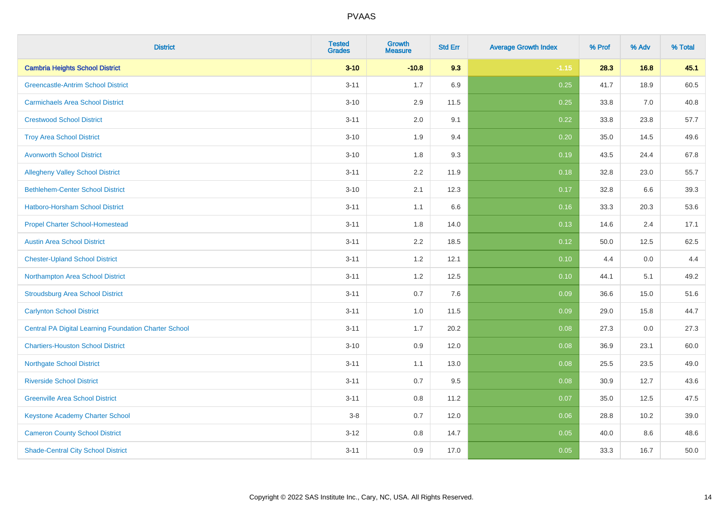| <b>District</b>                                              | <b>Tested</b><br><b>Grades</b> | Growth<br><b>Measure</b> | <b>Std Err</b> | <b>Average Growth Index</b> | % Prof | % Adv | % Total |
|--------------------------------------------------------------|--------------------------------|--------------------------|----------------|-----------------------------|--------|-------|---------|
| <b>Cambria Heights School District</b>                       | $3 - 10$                       | $-10.8$                  | 9.3            | $-1.15$                     | 28.3   | 16.8  | 45.1    |
| <b>Greencastle-Antrim School District</b>                    | $3 - 11$                       | 1.7                      | 6.9            | 0.25                        | 41.7   | 18.9  | 60.5    |
| <b>Carmichaels Area School District</b>                      | $3 - 10$                       | 2.9                      | 11.5           | 0.25                        | 33.8   | 7.0   | 40.8    |
| <b>Crestwood School District</b>                             | $3 - 11$                       | 2.0                      | 9.1            | 0.22                        | 33.8   | 23.8  | 57.7    |
| <b>Troy Area School District</b>                             | $3 - 10$                       | 1.9                      | 9.4            | 0.20                        | 35.0   | 14.5  | 49.6    |
| <b>Avonworth School District</b>                             | $3 - 10$                       | 1.8                      | 9.3            | 0.19                        | 43.5   | 24.4  | 67.8    |
| <b>Allegheny Valley School District</b>                      | $3 - 11$                       | 2.2                      | 11.9           | 0.18                        | 32.8   | 23.0  | 55.7    |
| <b>Bethlehem-Center School District</b>                      | $3 - 10$                       | 2.1                      | 12.3           | 0.17                        | 32.8   | 6.6   | 39.3    |
| <b>Hatboro-Horsham School District</b>                       | $3 - 11$                       | 1.1                      | 6.6            | 0.16                        | 33.3   | 20.3  | 53.6    |
| <b>Propel Charter School-Homestead</b>                       | $3 - 11$                       | 1.8                      | 14.0           | 0.13                        | 14.6   | 2.4   | 17.1    |
| <b>Austin Area School District</b>                           | $3 - 11$                       | 2.2                      | 18.5           | 0.12                        | 50.0   | 12.5  | 62.5    |
| <b>Chester-Upland School District</b>                        | $3 - 11$                       | 1.2                      | 12.1           | 0.10                        | 4.4    | 0.0   | 4.4     |
| Northampton Area School District                             | $3 - 11$                       | $1.2$                    | 12.5           | 0.10                        | 44.1   | 5.1   | 49.2    |
| <b>Stroudsburg Area School District</b>                      | $3 - 11$                       | 0.7                      | 7.6            | 0.09                        | 36.6   | 15.0  | 51.6    |
| <b>Carlynton School District</b>                             | $3 - 11$                       | 1.0                      | 11.5           | 0.09                        | 29.0   | 15.8  | 44.7    |
| <b>Central PA Digital Learning Foundation Charter School</b> | $3 - 11$                       | 1.7                      | 20.2           | 0.08                        | 27.3   | 0.0   | 27.3    |
| <b>Chartiers-Houston School District</b>                     | $3 - 10$                       | 0.9                      | 12.0           | 0.08                        | 36.9   | 23.1  | 60.0    |
| <b>Northgate School District</b>                             | $3 - 11$                       | 1.1                      | 13.0           | 0.08                        | 25.5   | 23.5  | 49.0    |
| <b>Riverside School District</b>                             | $3 - 11$                       | 0.7                      | 9.5            | 0.08                        | 30.9   | 12.7  | 43.6    |
| <b>Greenville Area School District</b>                       | $3 - 11$                       | 0.8                      | 11.2           | 0.07                        | 35.0   | 12.5  | 47.5    |
| <b>Keystone Academy Charter School</b>                       | $3-8$                          | 0.7                      | 12.0           | 0.06                        | 28.8   | 10.2  | 39.0    |
| <b>Cameron County School District</b>                        | $3 - 12$                       | 0.8                      | 14.7           | 0.05                        | 40.0   | 8.6   | 48.6    |
| <b>Shade-Central City School District</b>                    | $3 - 11$                       | 0.9                      | 17.0           | 0.05                        | 33.3   | 16.7  | 50.0    |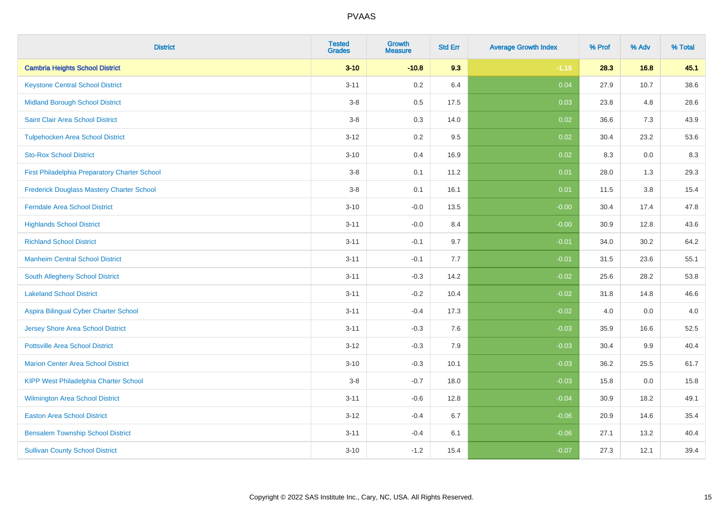| <b>District</b>                                  | <b>Tested</b><br><b>Grades</b> | Growth<br><b>Measure</b> | <b>Std Err</b> | <b>Average Growth Index</b> | % Prof | % Adv | % Total |
|--------------------------------------------------|--------------------------------|--------------------------|----------------|-----------------------------|--------|-------|---------|
| <b>Cambria Heights School District</b>           | $3 - 10$                       | $-10.8$                  | 9.3            | $-1.15$                     | 28.3   | 16.8  | 45.1    |
| <b>Keystone Central School District</b>          | $3 - 11$                       | $0.2\,$                  | 6.4            | 0.04                        | 27.9   | 10.7  | 38.6    |
| <b>Midland Borough School District</b>           | $3-8$                          | 0.5                      | 17.5           | 0.03                        | 23.8   | 4.8   | 28.6    |
| Saint Clair Area School District                 | $3-8$                          | 0.3                      | 14.0           | 0.02                        | 36.6   | 7.3   | 43.9    |
| <b>Tulpehocken Area School District</b>          | $3 - 12$                       | 0.2                      | 9.5            | 0.02                        | 30.4   | 23.2  | 53.6    |
| <b>Sto-Rox School District</b>                   | $3 - 10$                       | 0.4                      | 16.9           | 0.02                        | 8.3    | 0.0   | $8.3\,$ |
| First Philadelphia Preparatory Charter School    | $3-8$                          | 0.1                      | 11.2           | 0.01                        | 28.0   | 1.3   | 29.3    |
| <b>Frederick Douglass Mastery Charter School</b> | $3-8$                          | 0.1                      | 16.1           | 0.01                        | 11.5   | 3.8   | 15.4    |
| <b>Ferndale Area School District</b>             | $3 - 10$                       | $-0.0$                   | 13.5           | $-0.00$                     | 30.4   | 17.4  | 47.8    |
| <b>Highlands School District</b>                 | $3 - 11$                       | $-0.0$                   | 8.4            | $-0.00$                     | 30.9   | 12.8  | 43.6    |
| <b>Richland School District</b>                  | $3 - 11$                       | $-0.1$                   | 9.7            | $-0.01$                     | 34.0   | 30.2  | 64.2    |
| <b>Manheim Central School District</b>           | $3 - 11$                       | $-0.1$                   | 7.7            | $-0.01$                     | 31.5   | 23.6  | 55.1    |
| South Allegheny School District                  | $3 - 11$                       | $-0.3$                   | 14.2           | $-0.02$                     | 25.6   | 28.2  | 53.8    |
| <b>Lakeland School District</b>                  | $3 - 11$                       | $-0.2$                   | 10.4           | $-0.02$                     | 31.8   | 14.8  | 46.6    |
| Aspira Bilingual Cyber Charter School            | $3 - 11$                       | $-0.4$                   | 17.3           | $-0.02$                     | 4.0    | 0.0   | 4.0     |
| Jersey Shore Area School District                | $3 - 11$                       | $-0.3$                   | 7.6            | $-0.03$                     | 35.9   | 16.6  | 52.5    |
| <b>Pottsville Area School District</b>           | $3 - 12$                       | $-0.3$                   | 7.9            | $-0.03$                     | 30.4   | 9.9   | 40.4    |
| <b>Marion Center Area School District</b>        | $3 - 10$                       | $-0.3$                   | 10.1           | $-0.03$                     | 36.2   | 25.5  | 61.7    |
| KIPP West Philadelphia Charter School            | $3-8$                          | $-0.7$                   | 18.0           | $-0.03$                     | 15.8   | 0.0   | 15.8    |
| Wilmington Area School District                  | $3 - 11$                       | $-0.6$                   | 12.8           | $-0.04$                     | 30.9   | 18.2  | 49.1    |
| <b>Easton Area School District</b>               | $3 - 12$                       | $-0.4$                   | 6.7            | $-0.06$                     | 20.9   | 14.6  | 35.4    |
| <b>Bensalem Township School District</b>         | $3 - 11$                       | $-0.4$                   | 6.1            | $-0.06$                     | 27.1   | 13.2  | 40.4    |
| <b>Sullivan County School District</b>           | $3 - 10$                       | $-1.2$                   | 15.4           | $-0.07$                     | 27.3   | 12.1  | 39.4    |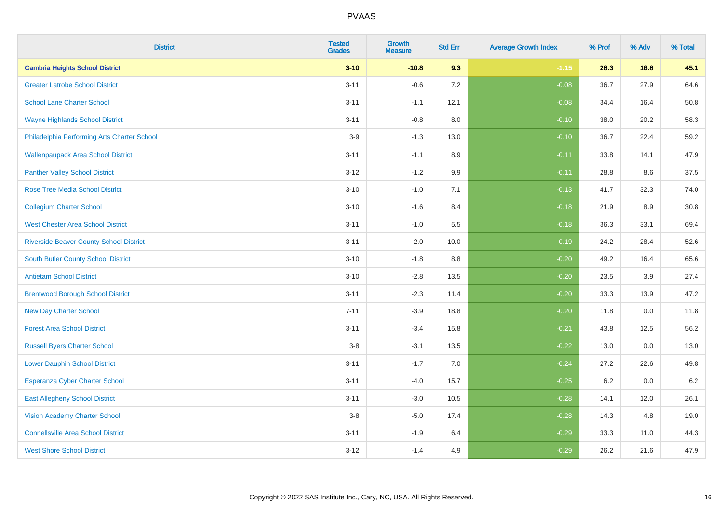| <b>District</b>                                | <b>Tested</b><br><b>Grades</b> | Growth<br><b>Measure</b> | <b>Std Err</b> | <b>Average Growth Index</b> | % Prof | % Adv | % Total |
|------------------------------------------------|--------------------------------|--------------------------|----------------|-----------------------------|--------|-------|---------|
| <b>Cambria Heights School District</b>         | $3 - 10$                       | $-10.8$                  | 9.3            | $-1.15$                     | 28.3   | 16.8  | 45.1    |
| <b>Greater Latrobe School District</b>         | $3 - 11$                       | $-0.6$                   | 7.2            | $-0.08$                     | 36.7   | 27.9  | 64.6    |
| <b>School Lane Charter School</b>              | $3 - 11$                       | $-1.1$                   | 12.1           | $-0.08$                     | 34.4   | 16.4  | 50.8    |
| <b>Wayne Highlands School District</b>         | $3 - 11$                       | $-0.8$                   | 8.0            | $-0.10$                     | 38.0   | 20.2  | 58.3    |
| Philadelphia Performing Arts Charter School    | $3-9$                          | $-1.3$                   | 13.0           | $-0.10$                     | 36.7   | 22.4  | 59.2    |
| <b>Wallenpaupack Area School District</b>      | $3 - 11$                       | $-1.1$                   | 8.9            | $-0.11$                     | 33.8   | 14.1  | 47.9    |
| <b>Panther Valley School District</b>          | $3 - 12$                       | $-1.2$                   | 9.9            | $-0.11$                     | 28.8   | 8.6   | 37.5    |
| <b>Rose Tree Media School District</b>         | $3 - 10$                       | $-1.0$                   | 7.1            | $-0.13$                     | 41.7   | 32.3  | 74.0    |
| <b>Collegium Charter School</b>                | $3 - 10$                       | $-1.6$                   | 8.4            | $-0.18$                     | 21.9   | 8.9   | 30.8    |
| <b>West Chester Area School District</b>       | $3 - 11$                       | $-1.0$                   | 5.5            | $-0.18$                     | 36.3   | 33.1  | 69.4    |
| <b>Riverside Beaver County School District</b> | $3 - 11$                       | $-2.0$                   | 10.0           | $-0.19$                     | 24.2   | 28.4  | 52.6    |
| South Butler County School District            | $3 - 10$                       | $-1.8$                   | 8.8            | $-0.20$                     | 49.2   | 16.4  | 65.6    |
| <b>Antietam School District</b>                | $3 - 10$                       | $-2.8$                   | 13.5           | $-0.20$                     | 23.5   | 3.9   | 27.4    |
| <b>Brentwood Borough School District</b>       | $3 - 11$                       | $-2.3$                   | 11.4           | $-0.20$                     | 33.3   | 13.9  | 47.2    |
| <b>New Day Charter School</b>                  | $7 - 11$                       | $-3.9$                   | 18.8           | $-0.20$                     | 11.8   | 0.0   | 11.8    |
| <b>Forest Area School District</b>             | $3 - 11$                       | $-3.4$                   | 15.8           | $-0.21$                     | 43.8   | 12.5  | 56.2    |
| <b>Russell Byers Charter School</b>            | $3-8$                          | $-3.1$                   | 13.5           | $-0.22$                     | 13.0   | 0.0   | 13.0    |
| <b>Lower Dauphin School District</b>           | $3 - 11$                       | $-1.7$                   | 7.0            | $-0.24$                     | 27.2   | 22.6  | 49.8    |
| Esperanza Cyber Charter School                 | $3 - 11$                       | $-4.0$                   | 15.7           | $-0.25$                     | 6.2    | 0.0   | $6.2\,$ |
| <b>East Allegheny School District</b>          | $3 - 11$                       | $-3.0$                   | 10.5           | $-0.28$                     | 14.1   | 12.0  | 26.1    |
| <b>Vision Academy Charter School</b>           | $3-8$                          | $-5.0$                   | 17.4           | $-0.28$                     | 14.3   | 4.8   | 19.0    |
| <b>Connellsville Area School District</b>      | $3 - 11$                       | $-1.9$                   | 6.4            | $-0.29$                     | 33.3   | 11.0  | 44.3    |
| <b>West Shore School District</b>              | $3 - 12$                       | $-1.4$                   | 4.9            | $-0.29$                     | 26.2   | 21.6  | 47.9    |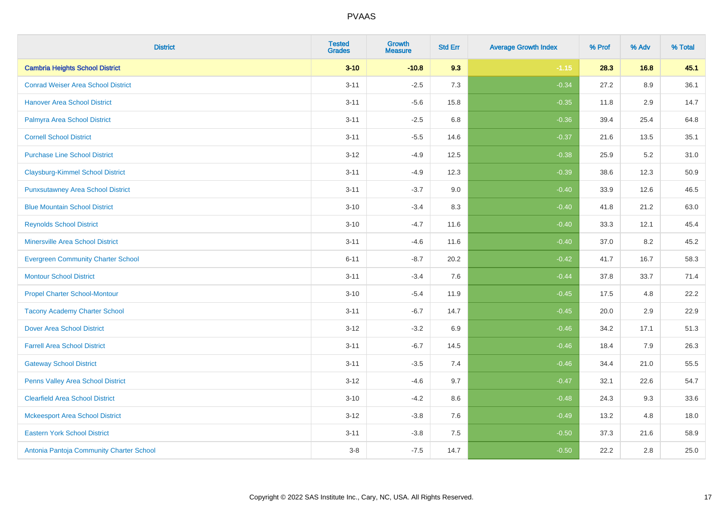| <b>District</b>                           | <b>Tested</b><br><b>Grades</b> | Growth<br><b>Measure</b> | <b>Std Err</b> | <b>Average Growth Index</b> | % Prof | % Adv | % Total |
|-------------------------------------------|--------------------------------|--------------------------|----------------|-----------------------------|--------|-------|---------|
| <b>Cambria Heights School District</b>    | $3 - 10$                       | $-10.8$                  | 9.3            | $-1.15$                     | 28.3   | 16.8  | 45.1    |
| <b>Conrad Weiser Area School District</b> | $3 - 11$                       | $-2.5$                   | 7.3            | $-0.34$                     | 27.2   | 8.9   | 36.1    |
| <b>Hanover Area School District</b>       | $3 - 11$                       | $-5.6$                   | 15.8           | $-0.35$                     | 11.8   | 2.9   | 14.7    |
| Palmyra Area School District              | $3 - 11$                       | $-2.5$                   | 6.8            | $-0.36$                     | 39.4   | 25.4  | 64.8    |
| <b>Cornell School District</b>            | $3 - 11$                       | $-5.5$                   | 14.6           | $-0.37$                     | 21.6   | 13.5  | 35.1    |
| <b>Purchase Line School District</b>      | $3 - 12$                       | $-4.9$                   | 12.5           | $-0.38$                     | 25.9   | 5.2   | 31.0    |
| <b>Claysburg-Kimmel School District</b>   | $3 - 11$                       | $-4.9$                   | 12.3           | $-0.39$                     | 38.6   | 12.3  | 50.9    |
| <b>Punxsutawney Area School District</b>  | $3 - 11$                       | $-3.7$                   | 9.0            | $-0.40$                     | 33.9   | 12.6  | 46.5    |
| <b>Blue Mountain School District</b>      | $3 - 10$                       | $-3.4$                   | 8.3            | $-0.40$                     | 41.8   | 21.2  | 63.0    |
| <b>Reynolds School District</b>           | $3 - 10$                       | $-4.7$                   | 11.6           | $-0.40$                     | 33.3   | 12.1  | 45.4    |
| <b>Minersville Area School District</b>   | $3 - 11$                       | $-4.6$                   | 11.6           | $-0.40$                     | 37.0   | 8.2   | 45.2    |
| <b>Evergreen Community Charter School</b> | $6 - 11$                       | $-8.7$                   | 20.2           | $-0.42$                     | 41.7   | 16.7  | 58.3    |
| <b>Montour School District</b>            | $3 - 11$                       | $-3.4$                   | 7.6            | $-0.44$                     | 37.8   | 33.7  | 71.4    |
| <b>Propel Charter School-Montour</b>      | $3 - 10$                       | $-5.4$                   | 11.9           | $-0.45$                     | 17.5   | 4.8   | 22.2    |
| <b>Tacony Academy Charter School</b>      | $3 - 11$                       | $-6.7$                   | 14.7           | $-0.45$                     | 20.0   | 2.9   | 22.9    |
| <b>Dover Area School District</b>         | $3 - 12$                       | $-3.2$                   | 6.9            | $-0.46$                     | 34.2   | 17.1  | 51.3    |
| <b>Farrell Area School District</b>       | $3 - 11$                       | $-6.7$                   | 14.5           | $-0.46$                     | 18.4   | 7.9   | 26.3    |
| <b>Gateway School District</b>            | $3 - 11$                       | $-3.5$                   | 7.4            | $-0.46$                     | 34.4   | 21.0  | 55.5    |
| <b>Penns Valley Area School District</b>  | $3 - 12$                       | $-4.6$                   | 9.7            | $-0.47$                     | 32.1   | 22.6  | 54.7    |
| <b>Clearfield Area School District</b>    | $3 - 10$                       | $-4.2$                   | 8.6            | $-0.48$                     | 24.3   | 9.3   | 33.6    |
| <b>Mckeesport Area School District</b>    | $3 - 12$                       | $-3.8$                   | 7.6            | $-0.49$                     | 13.2   | 4.8   | 18.0    |
| <b>Eastern York School District</b>       | $3 - 11$                       | $-3.8$                   | 7.5            | $-0.50$                     | 37.3   | 21.6  | 58.9    |
| Antonia Pantoja Community Charter School  | $3 - 8$                        | $-7.5$                   | 14.7           | $-0.50$                     | 22.2   | 2.8   | 25.0    |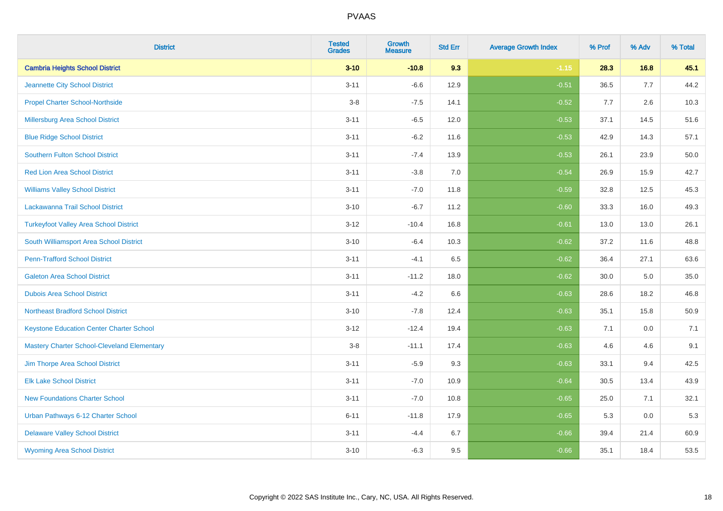| <b>District</b>                                    | <b>Tested</b><br><b>Grades</b> | Growth<br><b>Measure</b> | <b>Std Err</b> | <b>Average Growth Index</b> | % Prof | % Adv | % Total |
|----------------------------------------------------|--------------------------------|--------------------------|----------------|-----------------------------|--------|-------|---------|
| <b>Cambria Heights School District</b>             | $3 - 10$                       | $-10.8$                  | 9.3            | $-1.15$                     | 28.3   | 16.8  | 45.1    |
| Jeannette City School District                     | $3 - 11$                       | $-6.6$                   | 12.9           | $-0.51$                     | 36.5   | 7.7   | 44.2    |
| <b>Propel Charter School-Northside</b>             | $3-8$                          | $-7.5$                   | 14.1           | $-0.52$                     | 7.7    | 2.6   | 10.3    |
| Millersburg Area School District                   | $3 - 11$                       | $-6.5$                   | 12.0           | $-0.53$                     | 37.1   | 14.5  | 51.6    |
| <b>Blue Ridge School District</b>                  | $3 - 11$                       | $-6.2$                   | 11.6           | $-0.53$                     | 42.9   | 14.3  | 57.1    |
| <b>Southern Fulton School District</b>             | $3 - 11$                       | $-7.4$                   | 13.9           | $-0.53$                     | 26.1   | 23.9  | 50.0    |
| <b>Red Lion Area School District</b>               | $3 - 11$                       | $-3.8$                   | 7.0            | $-0.54$                     | 26.9   | 15.9  | 42.7    |
| <b>Williams Valley School District</b>             | $3 - 11$                       | $-7.0$                   | 11.8           | $-0.59$                     | 32.8   | 12.5  | 45.3    |
| Lackawanna Trail School District                   | $3 - 10$                       | $-6.7$                   | 11.2           | $-0.60$                     | 33.3   | 16.0  | 49.3    |
| <b>Turkeyfoot Valley Area School District</b>      | $3 - 12$                       | $-10.4$                  | 16.8           | $-0.61$                     | 13.0   | 13.0  | 26.1    |
| South Williamsport Area School District            | $3 - 10$                       | $-6.4$                   | 10.3           | $-0.62$                     | 37.2   | 11.6  | 48.8    |
| <b>Penn-Trafford School District</b>               | $3 - 11$                       | $-4.1$                   | 6.5            | $-0.62$                     | 36.4   | 27.1  | 63.6    |
| <b>Galeton Area School District</b>                | $3 - 11$                       | $-11.2$                  | 18.0           | $-0.62$                     | 30.0   | 5.0   | 35.0    |
| <b>Dubois Area School District</b>                 | $3 - 11$                       | $-4.2$                   | 6.6            | $-0.63$                     | 28.6   | 18.2  | 46.8    |
| <b>Northeast Bradford School District</b>          | $3 - 10$                       | $-7.8$                   | 12.4           | $-0.63$                     | 35.1   | 15.8  | 50.9    |
| <b>Keystone Education Center Charter School</b>    | $3 - 12$                       | $-12.4$                  | 19.4           | $-0.63$                     | 7.1    | 0.0   | 7.1     |
| <b>Mastery Charter School-Cleveland Elementary</b> | $3-8$                          | $-11.1$                  | 17.4           | $-0.63$                     | 4.6    | 4.6   | 9.1     |
| Jim Thorpe Area School District                    | $3 - 11$                       | $-5.9$                   | 9.3            | $-0.63$                     | 33.1   | 9.4   | 42.5    |
| <b>Elk Lake School District</b>                    | $3 - 11$                       | $-7.0$                   | 10.9           | $-0.64$                     | 30.5   | 13.4  | 43.9    |
| <b>New Foundations Charter School</b>              | $3 - 11$                       | $-7.0$                   | 10.8           | $-0.65$                     | 25.0   | 7.1   | 32.1    |
| Urban Pathways 6-12 Charter School                 | $6 - 11$                       | $-11.8$                  | 17.9           | $-0.65$                     | 5.3    | 0.0   | 5.3     |
| <b>Delaware Valley School District</b>             | $3 - 11$                       | $-4.4$                   | 6.7            | $-0.66$                     | 39.4   | 21.4  | 60.9    |
| <b>Wyoming Area School District</b>                | $3 - 10$                       | $-6.3$                   | 9.5            | $-0.66$                     | 35.1   | 18.4  | 53.5    |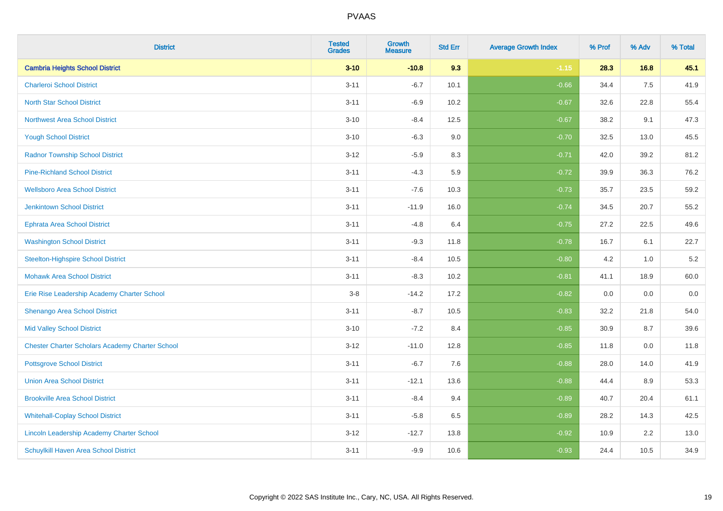| <b>District</b>                                        | <b>Tested</b><br><b>Grades</b> | <b>Growth</b><br><b>Measure</b> | <b>Std Err</b> | <b>Average Growth Index</b> | % Prof | % Adv | % Total |
|--------------------------------------------------------|--------------------------------|---------------------------------|----------------|-----------------------------|--------|-------|---------|
| <b>Cambria Heights School District</b>                 | $3 - 10$                       | $-10.8$                         | 9.3            | $-1.15$                     | 28.3   | 16.8  | 45.1    |
| <b>Charleroi School District</b>                       | $3 - 11$                       | $-6.7$                          | 10.1           | $-0.66$                     | 34.4   | 7.5   | 41.9    |
| <b>North Star School District</b>                      | $3 - 11$                       | $-6.9$                          | 10.2           | $-0.67$                     | 32.6   | 22.8  | 55.4    |
| <b>Northwest Area School District</b>                  | $3 - 10$                       | $-8.4$                          | 12.5           | $-0.67$                     | 38.2   | 9.1   | 47.3    |
| <b>Yough School District</b>                           | $3 - 10$                       | $-6.3$                          | 9.0            | $-0.70$                     | 32.5   | 13.0  | 45.5    |
| <b>Radnor Township School District</b>                 | $3 - 12$                       | $-5.9$                          | 8.3            | $-0.71$                     | 42.0   | 39.2  | 81.2    |
| <b>Pine-Richland School District</b>                   | $3 - 11$                       | $-4.3$                          | 5.9            | $-0.72$                     | 39.9   | 36.3  | 76.2    |
| <b>Wellsboro Area School District</b>                  | $3 - 11$                       | $-7.6$                          | 10.3           | $-0.73$                     | 35.7   | 23.5  | 59.2    |
| <b>Jenkintown School District</b>                      | $3 - 11$                       | $-11.9$                         | 16.0           | $-0.74$                     | 34.5   | 20.7  | 55.2    |
| <b>Ephrata Area School District</b>                    | $3 - 11$                       | $-4.8$                          | 6.4            | $-0.75$                     | 27.2   | 22.5  | 49.6    |
| <b>Washington School District</b>                      | $3 - 11$                       | $-9.3$                          | 11.8           | $-0.78$                     | 16.7   | 6.1   | 22.7    |
| <b>Steelton-Highspire School District</b>              | $3 - 11$                       | $-8.4$                          | 10.5           | $-0.80$                     | 4.2    | 1.0   | 5.2     |
| <b>Mohawk Area School District</b>                     | $3 - 11$                       | $-8.3$                          | 10.2           | $-0.81$                     | 41.1   | 18.9  | 60.0    |
| Erie Rise Leadership Academy Charter School            | $3-8$                          | $-14.2$                         | 17.2           | $-0.82$                     | 0.0    | 0.0   | $0.0\,$ |
| Shenango Area School District                          | $3 - 11$                       | $-8.7$                          | 10.5           | $-0.83$                     | 32.2   | 21.8  | 54.0    |
| <b>Mid Valley School District</b>                      | $3 - 10$                       | $-7.2$                          | 8.4            | $-0.85$                     | 30.9   | 8.7   | 39.6    |
| <b>Chester Charter Scholars Academy Charter School</b> | $3 - 12$                       | $-11.0$                         | 12.8           | $-0.85$                     | 11.8   | 0.0   | 11.8    |
| <b>Pottsgrove School District</b>                      | $3 - 11$                       | $-6.7$                          | 7.6            | $-0.88$                     | 28.0   | 14.0  | 41.9    |
| <b>Union Area School District</b>                      | $3 - 11$                       | $-12.1$                         | 13.6           | $-0.88$                     | 44.4   | 8.9   | 53.3    |
| <b>Brookville Area School District</b>                 | $3 - 11$                       | $-8.4$                          | 9.4            | $-0.89$                     | 40.7   | 20.4  | 61.1    |
| <b>Whitehall-Coplay School District</b>                | $3 - 11$                       | $-5.8$                          | 6.5            | $-0.89$                     | 28.2   | 14.3  | 42.5    |
| Lincoln Leadership Academy Charter School              | $3 - 12$                       | $-12.7$                         | 13.8           | $-0.92$                     | 10.9   | 2.2   | 13.0    |
| <b>Schuylkill Haven Area School District</b>           | $3 - 11$                       | $-9.9$                          | 10.6           | $-0.93$                     | 24.4   | 10.5  | 34.9    |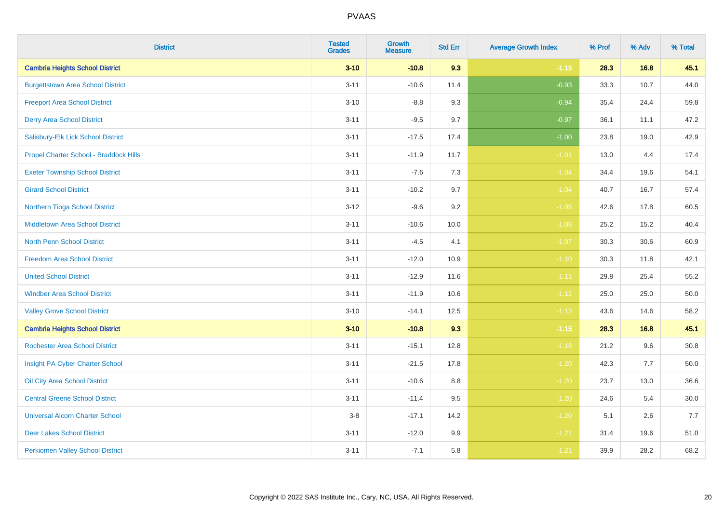| <b>District</b>                          | <b>Tested</b><br><b>Grades</b> | Growth<br><b>Measure</b> | <b>Std Err</b> | <b>Average Growth Index</b> | % Prof | % Adv | % Total  |
|------------------------------------------|--------------------------------|--------------------------|----------------|-----------------------------|--------|-------|----------|
| <b>Cambria Heights School District</b>   | $3 - 10$                       | $-10.8$                  | 9.3            | $-1.15$                     | 28.3   | 16.8  | 45.1     |
| <b>Burgettstown Area School District</b> | $3 - 11$                       | $-10.6$                  | 11.4           | $-0.93$                     | 33.3   | 10.7  | 44.0     |
| <b>Freeport Area School District</b>     | $3 - 10$                       | $-8.8$                   | 9.3            | $-0.94$                     | 35.4   | 24.4  | 59.8     |
| <b>Derry Area School District</b>        | $3 - 11$                       | $-9.5$                   | 9.7            | $-0.97$                     | 36.1   | 11.1  | 47.2     |
| Salisbury-Elk Lick School District       | $3 - 11$                       | $-17.5$                  | 17.4           | $-1.00$                     | 23.8   | 19.0  | 42.9     |
| Propel Charter School - Braddock Hills   | $3 - 11$                       | $-11.9$                  | 11.7           | $-1.01$                     | 13.0   | 4.4   | 17.4     |
| <b>Exeter Township School District</b>   | $3 - 11$                       | $-7.6$                   | 7.3            | $-1.04$                     | 34.4   | 19.6  | 54.1     |
| <b>Girard School District</b>            | $3 - 11$                       | $-10.2$                  | 9.7            | $-1.04$                     | 40.7   | 16.7  | 57.4     |
| Northern Tioga School District           | $3 - 12$                       | $-9.6$                   | 9.2            | $-1.05$                     | 42.6   | 17.8  | 60.5     |
| Middletown Area School District          | $3 - 11$                       | $-10.6$                  | 10.0           | $-1.06$                     | 25.2   | 15.2  | 40.4     |
| <b>North Penn School District</b>        | $3 - 11$                       | $-4.5$                   | 4.1            | $-1.07$                     | 30.3   | 30.6  | 60.9     |
| <b>Freedom Area School District</b>      | $3 - 11$                       | $-12.0$                  | 10.9           | $-1.10$                     | 30.3   | 11.8  | 42.1     |
| <b>United School District</b>            | $3 - 11$                       | $-12.9$                  | 11.6           | $-1.11$                     | 29.8   | 25.4  | 55.2     |
| <b>Windber Area School District</b>      | $3 - 11$                       | $-11.9$                  | 10.6           | $-1.12$                     | 25.0   | 25.0  | 50.0     |
| <b>Valley Grove School District</b>      | $3 - 10$                       | $-14.1$                  | 12.5           | $-1.13$                     | 43.6   | 14.6  | 58.2     |
| <b>Cambria Heights School District</b>   | $3 - 10$                       | $-10.8$                  | 9.3            | $-1.15$                     | 28.3   | 16.8  | 45.1     |
| <b>Rochester Area School District</b>    | $3 - 11$                       | $-15.1$                  | 12.8           | $-1.18$                     | 21.2   | 9.6   | 30.8     |
| Insight PA Cyber Charter School          | $3 - 11$                       | $-21.5$                  | 17.8           | $-1.20$                     | 42.3   | 7.7   | 50.0     |
| Oil City Area School District            | $3 - 11$                       | $-10.6$                  | 8.8            | $-1.20$                     | 23.7   | 13.0  | 36.6     |
| <b>Central Greene School District</b>    | $3 - 11$                       | $-11.4$                  | 9.5            | $-1.20$                     | 24.6   | 5.4   | $30.0\,$ |
| <b>Universal Alcorn Charter School</b>   | $3 - 8$                        | $-17.1$                  | 14.2           | $-1.20$                     | 5.1    | 2.6   | 7.7      |
| <b>Deer Lakes School District</b>        | $3 - 11$                       | $-12.0$                  | 9.9            | $-1.21$                     | 31.4   | 19.6  | 51.0     |
| <b>Perkiomen Valley School District</b>  | $3 - 11$                       | $-7.1$                   | 5.8            | $-1.21$                     | 39.9   | 28.2  | 68.2     |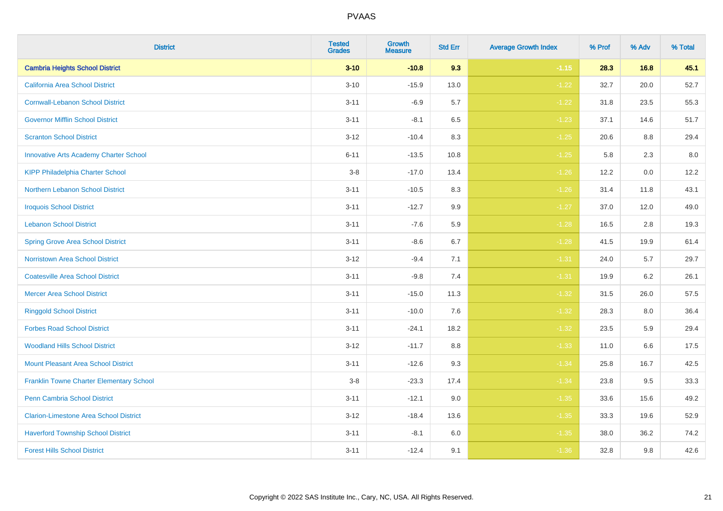| <b>District</b>                               | <b>Tested</b><br><b>Grades</b> | Growth<br><b>Measure</b> | <b>Std Err</b> | <b>Average Growth Index</b> | % Prof | % Adv | % Total |
|-----------------------------------------------|--------------------------------|--------------------------|----------------|-----------------------------|--------|-------|---------|
| <b>Cambria Heights School District</b>        | $3 - 10$                       | $-10.8$                  | 9.3            | $-1.15$                     | 28.3   | 16.8  | 45.1    |
| <b>California Area School District</b>        | $3 - 10$                       | $-15.9$                  | 13.0           | $-1.22$                     | 32.7   | 20.0  | 52.7    |
| <b>Cornwall-Lebanon School District</b>       | $3 - 11$                       | $-6.9$                   | 5.7            | $-1.22$                     | 31.8   | 23.5  | 55.3    |
| <b>Governor Mifflin School District</b>       | $3 - 11$                       | $-8.1$                   | 6.5            | $-1.23$                     | 37.1   | 14.6  | 51.7    |
| <b>Scranton School District</b>               | $3 - 12$                       | $-10.4$                  | 8.3            | $-1.25$                     | 20.6   | 8.8   | 29.4    |
| <b>Innovative Arts Academy Charter School</b> | $6 - 11$                       | $-13.5$                  | 10.8           | $-1.25$                     | 5.8    | 2.3   | $8.0\,$ |
| <b>KIPP Philadelphia Charter School</b>       | $3-8$                          | $-17.0$                  | 13.4           | $-1.26$                     | 12.2   | 0.0   | 12.2    |
| Northern Lebanon School District              | $3 - 11$                       | $-10.5$                  | 8.3            | $-1.26$                     | 31.4   | 11.8  | 43.1    |
| <b>Iroquois School District</b>               | $3 - 11$                       | $-12.7$                  | 9.9            | $-1.27$                     | 37.0   | 12.0  | 49.0    |
| <b>Lebanon School District</b>                | $3 - 11$                       | $-7.6$                   | 5.9            | $-1.28$                     | 16.5   | 2.8   | 19.3    |
| <b>Spring Grove Area School District</b>      | $3 - 11$                       | $-8.6$                   | 6.7            | $-1.28$                     | 41.5   | 19.9  | 61.4    |
| <b>Norristown Area School District</b>        | $3 - 12$                       | $-9.4$                   | 7.1            | $-1.31$                     | 24.0   | 5.7   | 29.7    |
| <b>Coatesville Area School District</b>       | $3 - 11$                       | $-9.8$                   | 7.4            | $-1.31$                     | 19.9   | 6.2   | 26.1    |
| <b>Mercer Area School District</b>            | $3 - 11$                       | $-15.0$                  | 11.3           | $-1.32$                     | 31.5   | 26.0  | 57.5    |
| <b>Ringgold School District</b>               | $3 - 11$                       | $-10.0$                  | 7.6            | $-1.32$                     | 28.3   | 8.0   | 36.4    |
| <b>Forbes Road School District</b>            | $3 - 11$                       | $-24.1$                  | 18.2           | $-1.32$                     | 23.5   | 5.9   | 29.4    |
| <b>Woodland Hills School District</b>         | $3 - 12$                       | $-11.7$                  | 8.8            | $-1.33$                     | 11.0   | 6.6   | 17.5    |
| <b>Mount Pleasant Area School District</b>    | $3 - 11$                       | $-12.6$                  | 9.3            | $-1.34$                     | 25.8   | 16.7  | 42.5    |
| Franklin Towne Charter Elementary School      | $3 - 8$                        | $-23.3$                  | 17.4           | $-1.34$                     | 23.8   | 9.5   | 33.3    |
| Penn Cambria School District                  | $3 - 11$                       | $-12.1$                  | 9.0            | $-1.35$                     | 33.6   | 15.6  | 49.2    |
| <b>Clarion-Limestone Area School District</b> | $3 - 12$                       | $-18.4$                  | 13.6           | $-1.35$                     | 33.3   | 19.6  | 52.9    |
| <b>Haverford Township School District</b>     | $3 - 11$                       | $-8.1$                   | 6.0            | $-1.35$                     | 38.0   | 36.2  | 74.2    |
| <b>Forest Hills School District</b>           | $3 - 11$                       | $-12.4$                  | 9.1            | $-1.36$                     | 32.8   | 9.8   | 42.6    |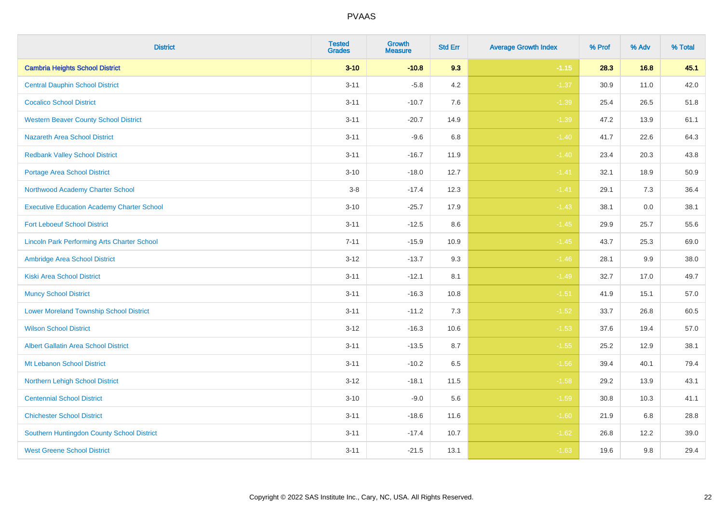| <b>District</b>                                    | <b>Tested</b><br><b>Grades</b> | <b>Growth</b><br><b>Measure</b> | <b>Std Err</b> | <b>Average Growth Index</b> | % Prof | % Adv | % Total |
|----------------------------------------------------|--------------------------------|---------------------------------|----------------|-----------------------------|--------|-------|---------|
| <b>Cambria Heights School District</b>             | $3 - 10$                       | $-10.8$                         | 9.3            | $-1.15$                     | 28.3   | 16.8  | 45.1    |
| <b>Central Dauphin School District</b>             | $3 - 11$                       | $-5.8$                          | 4.2            | $-1.37$                     | 30.9   | 11.0  | 42.0    |
| <b>Cocalico School District</b>                    | $3 - 11$                       | $-10.7$                         | 7.6            | $-1.39$                     | 25.4   | 26.5  | 51.8    |
| <b>Western Beaver County School District</b>       | $3 - 11$                       | $-20.7$                         | 14.9           | $-1.39$                     | 47.2   | 13.9  | 61.1    |
| <b>Nazareth Area School District</b>               | $3 - 11$                       | $-9.6$                          | 6.8            | $-1.40$                     | 41.7   | 22.6  | 64.3    |
| <b>Redbank Valley School District</b>              | $3 - 11$                       | $-16.7$                         | 11.9           | $-1.40$                     | 23.4   | 20.3  | 43.8    |
| <b>Portage Area School District</b>                | $3 - 10$                       | $-18.0$                         | 12.7           | $-1.41$                     | 32.1   | 18.9  | 50.9    |
| Northwood Academy Charter School                   | $3-8$                          | $-17.4$                         | 12.3           | $-1.41$                     | 29.1   | 7.3   | 36.4    |
| <b>Executive Education Academy Charter School</b>  | $3 - 10$                       | $-25.7$                         | 17.9           | $-1.43$                     | 38.1   | 0.0   | 38.1    |
| <b>Fort Leboeuf School District</b>                | $3 - 11$                       | $-12.5$                         | $8.6\,$        | $-1.45$                     | 29.9   | 25.7  | 55.6    |
| <b>Lincoln Park Performing Arts Charter School</b> | $7 - 11$                       | $-15.9$                         | 10.9           | $-1.45$                     | 43.7   | 25.3  | 69.0    |
| Ambridge Area School District                      | $3 - 12$                       | $-13.7$                         | 9.3            | $-1.46$                     | 28.1   | 9.9   | 38.0    |
| <b>Kiski Area School District</b>                  | $3 - 11$                       | $-12.1$                         | 8.1            | $-1.49$                     | 32.7   | 17.0  | 49.7    |
| <b>Muncy School District</b>                       | $3 - 11$                       | $-16.3$                         | 10.8           | $-1.51$                     | 41.9   | 15.1  | 57.0    |
| <b>Lower Moreland Township School District</b>     | $3 - 11$                       | $-11.2$                         | 7.3            | $-1.52$                     | 33.7   | 26.8  | 60.5    |
| <b>Wilson School District</b>                      | $3 - 12$                       | $-16.3$                         | 10.6           | $-1.53$                     | 37.6   | 19.4  | 57.0    |
| <b>Albert Gallatin Area School District</b>        | $3 - 11$                       | $-13.5$                         | 8.7            | $-1.55$                     | 25.2   | 12.9  | 38.1    |
| Mt Lebanon School District                         | $3 - 11$                       | $-10.2$                         | 6.5            | $-1.56$                     | 39.4   | 40.1  | 79.4    |
| Northern Lehigh School District                    | $3 - 12$                       | $-18.1$                         | 11.5           | $-1.58$                     | 29.2   | 13.9  | 43.1    |
| <b>Centennial School District</b>                  | $3 - 10$                       | $-9.0$                          | 5.6            | $-1.59$                     | 30.8   | 10.3  | 41.1    |
| <b>Chichester School District</b>                  | $3 - 11$                       | $-18.6$                         | 11.6           | $-1.60$                     | 21.9   | 6.8   | 28.8    |
| Southern Huntingdon County School District         | $3 - 11$                       | $-17.4$                         | 10.7           | $-1.62$                     | 26.8   | 12.2  | 39.0    |
| <b>West Greene School District</b>                 | $3 - 11$                       | $-21.5$                         | 13.1           | $-1.63$                     | 19.6   | 9.8   | 29.4    |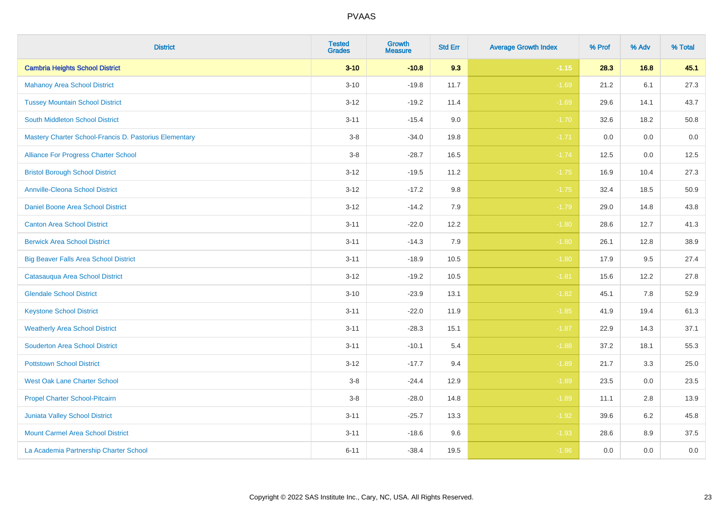| <b>District</b>                                        | <b>Tested</b><br><b>Grades</b> | <b>Growth</b><br><b>Measure</b> | <b>Std Err</b> | <b>Average Growth Index</b> | % Prof | % Adv | % Total |
|--------------------------------------------------------|--------------------------------|---------------------------------|----------------|-----------------------------|--------|-------|---------|
| <b>Cambria Heights School District</b>                 | $3 - 10$                       | $-10.8$                         | 9.3            | $-1.15$                     | 28.3   | 16.8  | 45.1    |
| <b>Mahanoy Area School District</b>                    | $3 - 10$                       | $-19.8$                         | 11.7           | $-1.69$                     | 21.2   | 6.1   | 27.3    |
| <b>Tussey Mountain School District</b>                 | $3 - 12$                       | $-19.2$                         | 11.4           | $-1.69$                     | 29.6   | 14.1  | 43.7    |
| <b>South Middleton School District</b>                 | $3 - 11$                       | $-15.4$                         | 9.0            | $-1.70$                     | 32.6   | 18.2  | 50.8    |
| Mastery Charter School-Francis D. Pastorius Elementary | $3-8$                          | $-34.0$                         | 19.8           | $-1.71$                     | 0.0    | 0.0   | $0.0\,$ |
| Alliance For Progress Charter School                   | $3-8$                          | $-28.7$                         | 16.5           | $-1.74$                     | 12.5   | 0.0   | 12.5    |
| <b>Bristol Borough School District</b>                 | $3 - 12$                       | $-19.5$                         | 11.2           | $-1.75$                     | 16.9   | 10.4  | 27.3    |
| <b>Annville-Cleona School District</b>                 | $3 - 12$                       | $-17.2$                         | 9.8            | $-1.75$                     | 32.4   | 18.5  | 50.9    |
| Daniel Boone Area School District                      | $3-12$                         | $-14.2$                         | 7.9            | $-1.79$                     | 29.0   | 14.8  | 43.8    |
| <b>Canton Area School District</b>                     | $3 - 11$                       | $-22.0$                         | 12.2           | $-1.80$                     | 28.6   | 12.7  | 41.3    |
| <b>Berwick Area School District</b>                    | $3 - 11$                       | $-14.3$                         | 7.9            | $-1.80$                     | 26.1   | 12.8  | 38.9    |
| <b>Big Beaver Falls Area School District</b>           | $3 - 11$                       | $-18.9$                         | 10.5           | $-1.80$                     | 17.9   | 9.5   | 27.4    |
| Catasauqua Area School District                        | $3 - 12$                       | $-19.2$                         | 10.5           | $-1.81$                     | 15.6   | 12.2  | 27.8    |
| <b>Glendale School District</b>                        | $3 - 10$                       | $-23.9$                         | 13.1           | $-1.82$                     | 45.1   | 7.8   | 52.9    |
| <b>Keystone School District</b>                        | $3 - 11$                       | $-22.0$                         | 11.9           | $-1.85$                     | 41.9   | 19.4  | 61.3    |
| <b>Weatherly Area School District</b>                  | $3 - 11$                       | $-28.3$                         | 15.1           | $-1.87$                     | 22.9   | 14.3  | 37.1    |
| <b>Souderton Area School District</b>                  | $3 - 11$                       | $-10.1$                         | 5.4            | $-1.88$                     | 37.2   | 18.1  | 55.3    |
| <b>Pottstown School District</b>                       | $3 - 12$                       | $-17.7$                         | 9.4            | $-1.89$                     | 21.7   | 3.3   | 25.0    |
| <b>West Oak Lane Charter School</b>                    | $3 - 8$                        | $-24.4$                         | 12.9           | $-1.89$                     | 23.5   | 0.0   | 23.5    |
| Propel Charter School-Pitcairn                         | $3 - 8$                        | $-28.0$                         | 14.8           | $-1.89$                     | 11.1   | 2.8   | 13.9    |
| Juniata Valley School District                         | $3 - 11$                       | $-25.7$                         | 13.3           | $-1.92$                     | 39.6   | 6.2   | 45.8    |
| <b>Mount Carmel Area School District</b>               | $3 - 11$                       | $-18.6$                         | 9.6            | $-1.93$                     | 28.6   | 8.9   | 37.5    |
| La Academia Partnership Charter School                 | $6 - 11$                       | $-38.4$                         | 19.5           | $-1.96$                     | 0.0    | 0.0   | $0.0\,$ |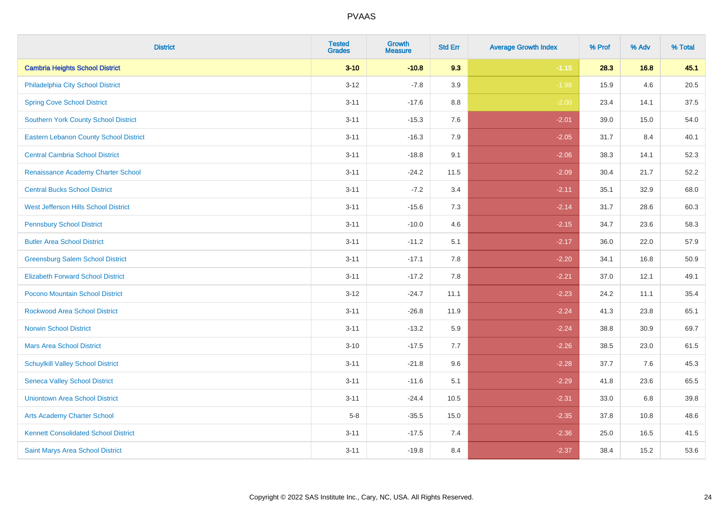| <b>District</b>                               | <b>Tested</b><br><b>Grades</b> | Growth<br><b>Measure</b> | <b>Std Err</b> | <b>Average Growth Index</b> | % Prof | % Adv | % Total |
|-----------------------------------------------|--------------------------------|--------------------------|----------------|-----------------------------|--------|-------|---------|
| <b>Cambria Heights School District</b>        | $3 - 10$                       | $-10.8$                  | 9.3            | $-1.15$                     | 28.3   | 16.8  | 45.1    |
| Philadelphia City School District             | $3 - 12$                       | $-7.8$                   | 3.9            | $-1.98$                     | 15.9   | 4.6   | 20.5    |
| <b>Spring Cove School District</b>            | $3 - 11$                       | $-17.6$                  | 8.8            | $-2.00$                     | 23.4   | 14.1  | 37.5    |
| <b>Southern York County School District</b>   | $3 - 11$                       | $-15.3$                  | 7.6            | $-2.01$                     | 39.0   | 15.0  | 54.0    |
| <b>Eastern Lebanon County School District</b> | $3 - 11$                       | $-16.3$                  | 7.9            | $-2.05$                     | 31.7   | 8.4   | 40.1    |
| <b>Central Cambria School District</b>        | $3 - 11$                       | $-18.8$                  | 9.1            | $-2.06$                     | 38.3   | 14.1  | 52.3    |
| <b>Renaissance Academy Charter School</b>     | $3 - 11$                       | $-24.2$                  | 11.5           | $-2.09$                     | 30.4   | 21.7  | 52.2    |
| <b>Central Bucks School District</b>          | $3 - 11$                       | $-7.2$                   | 3.4            | $-2.11$                     | 35.1   | 32.9  | 68.0    |
| West Jefferson Hills School District          | $3 - 11$                       | $-15.6$                  | 7.3            | $-2.14$                     | 31.7   | 28.6  | 60.3    |
| <b>Pennsbury School District</b>              | $3 - 11$                       | $-10.0$                  | 4.6            | $-2.15$                     | 34.7   | 23.6  | 58.3    |
| <b>Butler Area School District</b>            | $3 - 11$                       | $-11.2$                  | 5.1            | $-2.17$                     | 36.0   | 22.0  | 57.9    |
| <b>Greensburg Salem School District</b>       | $3 - 11$                       | $-17.1$                  | 7.8            | $-2.20$                     | 34.1   | 16.8  | 50.9    |
| <b>Elizabeth Forward School District</b>      | $3 - 11$                       | $-17.2$                  | 7.8            | $-2.21$                     | 37.0   | 12.1  | 49.1    |
| Pocono Mountain School District               | $3 - 12$                       | $-24.7$                  | 11.1           | $-2.23$                     | 24.2   | 11.1  | 35.4    |
| <b>Rockwood Area School District</b>          | $3 - 11$                       | $-26.8$                  | 11.9           | $-2.24$                     | 41.3   | 23.8  | 65.1    |
| <b>Norwin School District</b>                 | $3 - 11$                       | $-13.2$                  | 5.9            | $-2.24$                     | 38.8   | 30.9  | 69.7    |
| <b>Mars Area School District</b>              | $3 - 10$                       | $-17.5$                  | 7.7            | $-2.26$                     | 38.5   | 23.0  | 61.5    |
| <b>Schuylkill Valley School District</b>      | $3 - 11$                       | $-21.8$                  | 9.6            | $-2.28$                     | 37.7   | 7.6   | 45.3    |
| <b>Seneca Valley School District</b>          | $3 - 11$                       | $-11.6$                  | 5.1            | $-2.29$                     | 41.8   | 23.6  | 65.5    |
| <b>Uniontown Area School District</b>         | $3 - 11$                       | $-24.4$                  | 10.5           | $-2.31$                     | 33.0   | 6.8   | 39.8    |
| <b>Arts Academy Charter School</b>            | $5-8$                          | $-35.5$                  | 15.0           | $-2.35$                     | 37.8   | 10.8  | 48.6    |
| <b>Kennett Consolidated School District</b>   | $3 - 11$                       | $-17.5$                  | 7.4            | $-2.36$                     | 25.0   | 16.5  | 41.5    |
| Saint Marys Area School District              | $3 - 11$                       | $-19.8$                  | 8.4            | $-2.37$                     | 38.4   | 15.2  | 53.6    |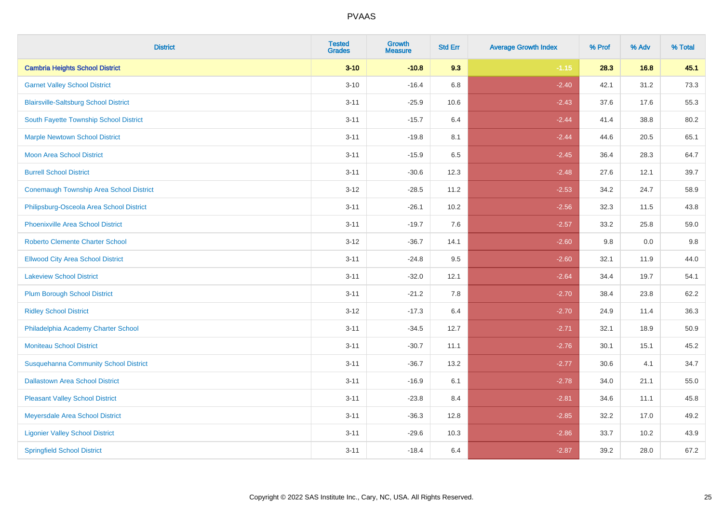| <b>District</b>                                | <b>Tested</b><br><b>Grades</b> | <b>Growth</b><br><b>Measure</b> | <b>Std Err</b> | <b>Average Growth Index</b> | % Prof | % Adv | % Total |
|------------------------------------------------|--------------------------------|---------------------------------|----------------|-----------------------------|--------|-------|---------|
| <b>Cambria Heights School District</b>         | $3 - 10$                       | $-10.8$                         | 9.3            | $-1.15$                     | 28.3   | 16.8  | 45.1    |
| <b>Garnet Valley School District</b>           | $3 - 10$                       | $-16.4$                         | $6.8\,$        | $-2.40$                     | 42.1   | 31.2  | 73.3    |
| <b>Blairsville-Saltsburg School District</b>   | $3 - 11$                       | $-25.9$                         | 10.6           | $-2.43$                     | 37.6   | 17.6  | 55.3    |
| South Fayette Township School District         | $3 - 11$                       | $-15.7$                         | 6.4            | $-2.44$                     | 41.4   | 38.8  | 80.2    |
| <b>Marple Newtown School District</b>          | $3 - 11$                       | $-19.8$                         | 8.1            | $-2.44$                     | 44.6   | 20.5  | 65.1    |
| <b>Moon Area School District</b>               | $3 - 11$                       | $-15.9$                         | 6.5            | $-2.45$                     | 36.4   | 28.3  | 64.7    |
| <b>Burrell School District</b>                 | $3 - 11$                       | $-30.6$                         | 12.3           | $-2.48$                     | 27.6   | 12.1  | 39.7    |
| <b>Conemaugh Township Area School District</b> | $3 - 12$                       | $-28.5$                         | 11.2           | $-2.53$                     | 34.2   | 24.7  | 58.9    |
| Philipsburg-Osceola Area School District       | $3 - 11$                       | $-26.1$                         | 10.2           | $-2.56$                     | 32.3   | 11.5  | 43.8    |
| <b>Phoenixville Area School District</b>       | $3 - 11$                       | $-19.7$                         | 7.6            | $-2.57$                     | 33.2   | 25.8  | 59.0    |
| <b>Roberto Clemente Charter School</b>         | $3 - 12$                       | $-36.7$                         | 14.1           | $-2.60$                     | 9.8    | 0.0   | 9.8     |
| <b>Ellwood City Area School District</b>       | $3 - 11$                       | $-24.8$                         | 9.5            | $-2.60$                     | 32.1   | 11.9  | 44.0    |
| <b>Lakeview School District</b>                | $3 - 11$                       | $-32.0$                         | 12.1           | $-2.64$                     | 34.4   | 19.7  | 54.1    |
| <b>Plum Borough School District</b>            | $3 - 11$                       | $-21.2$                         | 7.8            | $-2.70$                     | 38.4   | 23.8  | 62.2    |
| <b>Ridley School District</b>                  | $3 - 12$                       | $-17.3$                         | 6.4            | $-2.70$                     | 24.9   | 11.4  | 36.3    |
| Philadelphia Academy Charter School            | $3 - 11$                       | $-34.5$                         | 12.7           | $-2.71$                     | 32.1   | 18.9  | 50.9    |
| <b>Moniteau School District</b>                | $3 - 11$                       | $-30.7$                         | 11.1           | $-2.76$                     | 30.1   | 15.1  | 45.2    |
| <b>Susquehanna Community School District</b>   | $3 - 11$                       | $-36.7$                         | 13.2           | $-2.77$                     | 30.6   | 4.1   | 34.7    |
| <b>Dallastown Area School District</b>         | $3 - 11$                       | $-16.9$                         | 6.1            | $-2.78$                     | 34.0   | 21.1  | 55.0    |
| <b>Pleasant Valley School District</b>         | $3 - 11$                       | $-23.8$                         | 8.4            | $-2.81$                     | 34.6   | 11.1  | 45.8    |
| Meyersdale Area School District                | $3 - 11$                       | $-36.3$                         | 12.8           | $-2.85$                     | 32.2   | 17.0  | 49.2    |
| <b>Ligonier Valley School District</b>         | $3 - 11$                       | $-29.6$                         | 10.3           | $-2.86$                     | 33.7   | 10.2  | 43.9    |
| <b>Springfield School District</b>             | $3 - 11$                       | $-18.4$                         | 6.4            | $-2.87$                     | 39.2   | 28.0  | 67.2    |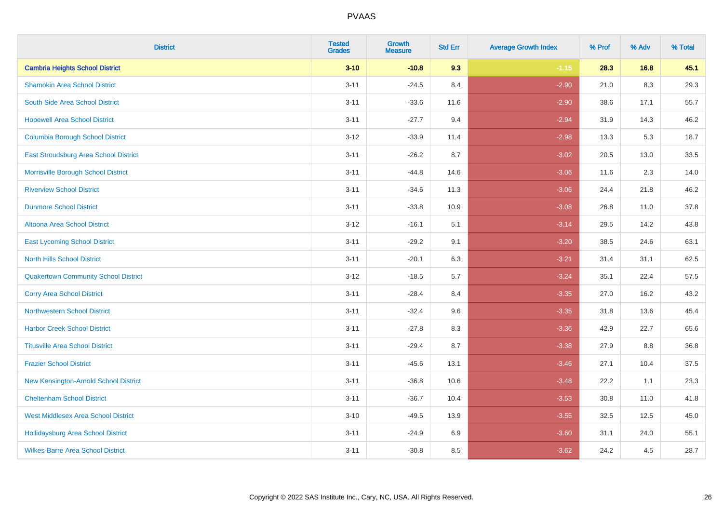| <b>District</b>                              | <b>Tested</b><br><b>Grades</b> | Growth<br><b>Measure</b> | <b>Std Err</b> | <b>Average Growth Index</b> | % Prof | % Adv | % Total |
|----------------------------------------------|--------------------------------|--------------------------|----------------|-----------------------------|--------|-------|---------|
| <b>Cambria Heights School District</b>       | $3 - 10$                       | $-10.8$                  | 9.3            | $-1.15$                     | 28.3   | 16.8  | 45.1    |
| <b>Shamokin Area School District</b>         | $3 - 11$                       | $-24.5$                  | 8.4            | $-2.90$                     | 21.0   | 8.3   | 29.3    |
| South Side Area School District              | $3 - 11$                       | $-33.6$                  | 11.6           | $-2.90$                     | 38.6   | 17.1  | 55.7    |
| <b>Hopewell Area School District</b>         | $3 - 11$                       | $-27.7$                  | 9.4            | $-2.94$                     | 31.9   | 14.3  | 46.2    |
| <b>Columbia Borough School District</b>      | $3 - 12$                       | $-33.9$                  | 11.4           | $-2.98$                     | 13.3   | 5.3   | 18.7    |
| <b>East Stroudsburg Area School District</b> | $3 - 11$                       | $-26.2$                  | 8.7            | $-3.02$                     | 20.5   | 13.0  | 33.5    |
| Morrisville Borough School District          | $3 - 11$                       | $-44.8$                  | 14.6           | $-3.06$                     | 11.6   | 2.3   | 14.0    |
| <b>Riverview School District</b>             | $3 - 11$                       | $-34.6$                  | 11.3           | $-3.06$                     | 24.4   | 21.8  | 46.2    |
| <b>Dunmore School District</b>               | $3 - 11$                       | $-33.8$                  | 10.9           | $-3.08$                     | 26.8   | 11.0  | 37.8    |
| <b>Altoona Area School District</b>          | $3 - 12$                       | $-16.1$                  | 5.1            | $-3.14$                     | 29.5   | 14.2  | 43.8    |
| <b>East Lycoming School District</b>         | $3 - 11$                       | $-29.2$                  | 9.1            | $-3.20$                     | 38.5   | 24.6  | 63.1    |
| <b>North Hills School District</b>           | $3 - 11$                       | $-20.1$                  | 6.3            | $-3.21$                     | 31.4   | 31.1  | 62.5    |
| <b>Quakertown Community School District</b>  | $3 - 12$                       | $-18.5$                  | 5.7            | $-3.24$                     | 35.1   | 22.4  | 57.5    |
| <b>Corry Area School District</b>            | $3 - 11$                       | $-28.4$                  | 8.4            | $-3.35$                     | 27.0   | 16.2  | 43.2    |
| <b>Northwestern School District</b>          | $3 - 11$                       | $-32.4$                  | 9.6            | $-3.35$                     | 31.8   | 13.6  | 45.4    |
| <b>Harbor Creek School District</b>          | $3 - 11$                       | $-27.8$                  | 8.3            | $-3.36$                     | 42.9   | 22.7  | 65.6    |
| <b>Titusville Area School District</b>       | $3 - 11$                       | $-29.4$                  | 8.7            | $-3.38$                     | 27.9   | 8.8   | 36.8    |
| <b>Frazier School District</b>               | $3 - 11$                       | $-45.6$                  | 13.1           | $-3.46$                     | 27.1   | 10.4  | 37.5    |
| New Kensington-Arnold School District        | $3 - 11$                       | $-36.8$                  | 10.6           | $-3.48$                     | 22.2   | 1.1   | 23.3    |
| <b>Cheltenham School District</b>            | $3 - 11$                       | $-36.7$                  | 10.4           | $-3.53$                     | 30.8   | 11.0  | 41.8    |
| <b>West Middlesex Area School District</b>   | $3 - 10$                       | $-49.5$                  | 13.9           | $-3.55$                     | 32.5   | 12.5  | 45.0    |
| <b>Hollidaysburg Area School District</b>    | $3 - 11$                       | $-24.9$                  | 6.9            | $-3.60$                     | 31.1   | 24.0  | 55.1    |
| <b>Wilkes-Barre Area School District</b>     | $3 - 11$                       | $-30.8$                  | 8.5            | $-3.62$                     | 24.2   | 4.5   | 28.7    |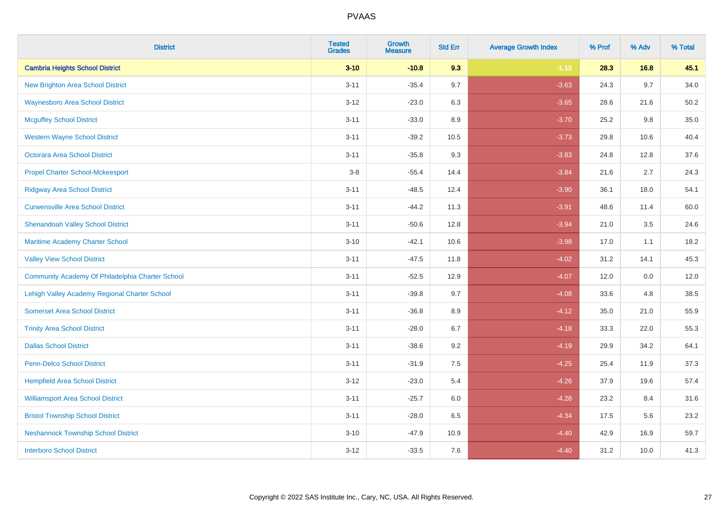| <b>District</b>                                  | <b>Tested</b><br><b>Grades</b> | <b>Growth</b><br><b>Measure</b> | <b>Std Err</b> | <b>Average Growth Index</b> | % Prof | % Adv | % Total |
|--------------------------------------------------|--------------------------------|---------------------------------|----------------|-----------------------------|--------|-------|---------|
| <b>Cambria Heights School District</b>           | $3 - 10$                       | $-10.8$                         | 9.3            | $-1.15$                     | 28.3   | 16.8  | 45.1    |
| <b>New Brighton Area School District</b>         | $3 - 11$                       | $-35.4$                         | 9.7            | $-3.63$                     | 24.3   | 9.7   | 34.0    |
| <b>Waynesboro Area School District</b>           | $3 - 12$                       | $-23.0$                         | 6.3            | $-3.65$                     | 28.6   | 21.6  | 50.2    |
| <b>Mcguffey School District</b>                  | $3 - 11$                       | $-33.0$                         | 8.9            | $-3.70$                     | 25.2   | 9.8   | 35.0    |
| <b>Western Wayne School District</b>             | $3 - 11$                       | $-39.2$                         | 10.5           | $-3.73$                     | 29.8   | 10.6  | 40.4    |
| <b>Octorara Area School District</b>             | $3 - 11$                       | $-35.8$                         | 9.3            | $-3.83$                     | 24.8   | 12.8  | 37.6    |
| <b>Propel Charter School-Mckeesport</b>          | $3 - 8$                        | $-55.4$                         | 14.4           | $-3.84$                     | 21.6   | 2.7   | 24.3    |
| <b>Ridgway Area School District</b>              | $3 - 11$                       | $-48.5$                         | 12.4           | $-3.90$                     | 36.1   | 18.0  | 54.1    |
| <b>Curwensville Area School District</b>         | $3 - 11$                       | $-44.2$                         | 11.3           | $-3.91$                     | 48.6   | 11.4  | 60.0    |
| <b>Shenandoah Valley School District</b>         | $3 - 11$                       | $-50.6$                         | 12.8           | $-3.94$                     | 21.0   | 3.5   | 24.6    |
| Maritime Academy Charter School                  | $3 - 10$                       | $-42.1$                         | 10.6           | $-3.98$                     | 17.0   | 1.1   | 18.2    |
| <b>Valley View School District</b>               | $3 - 11$                       | $-47.5$                         | 11.8           | $-4.02$                     | 31.2   | 14.1  | 45.3    |
| Community Academy Of Philadelphia Charter School | $3 - 11$                       | $-52.5$                         | 12.9           | $-4.07$                     | 12.0   | 0.0   | 12.0    |
| Lehigh Valley Academy Regional Charter School    | $3 - 11$                       | $-39.8$                         | 9.7            | $-4.08$                     | 33.6   | 4.8   | 38.5    |
| <b>Somerset Area School District</b>             | $3 - 11$                       | $-36.8$                         | 8.9            | $-4.12$                     | 35.0   | 21.0  | 55.9    |
| <b>Trinity Area School District</b>              | $3 - 11$                       | $-28.0$                         | 6.7            | $-4.18$                     | 33.3   | 22.0  | 55.3    |
| <b>Dallas School District</b>                    | $3 - 11$                       | $-38.6$                         | 9.2            | $-4.19$                     | 29.9   | 34.2  | 64.1    |
| Penn-Delco School District                       | $3 - 11$                       | $-31.9$                         | 7.5            | $-4.25$                     | 25.4   | 11.9  | 37.3    |
| <b>Hempfield Area School District</b>            | $3 - 12$                       | $-23.0$                         | 5.4            | $-4.26$                     | 37.9   | 19.6  | 57.4    |
| <b>Williamsport Area School District</b>         | $3 - 11$                       | $-25.7$                         | 6.0            | $-4.28$                     | 23.2   | 8.4   | 31.6    |
| <b>Bristol Township School District</b>          | $3 - 11$                       | $-28.0$                         | 6.5            | $-4.34$                     | 17.5   | 5.6   | 23.2    |
| <b>Neshannock Township School District</b>       | $3 - 10$                       | $-47.9$                         | 10.9           | $-4.40$                     | 42.9   | 16.9  | 59.7    |
| <b>Interboro School District</b>                 | $3 - 12$                       | $-33.5$                         | 7.6            | $-4.40$                     | 31.2   | 10.0  | 41.3    |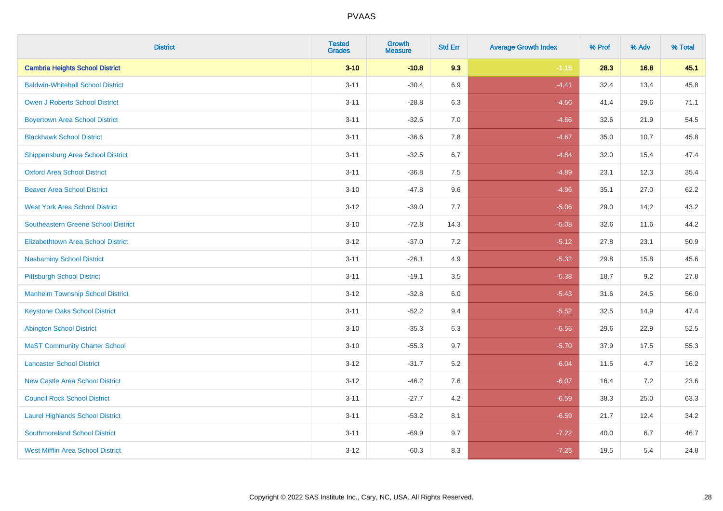| <b>District</b>                            | <b>Tested</b><br><b>Grades</b> | Growth<br><b>Measure</b> | <b>Std Err</b> | <b>Average Growth Index</b> | % Prof | % Adv | % Total |
|--------------------------------------------|--------------------------------|--------------------------|----------------|-----------------------------|--------|-------|---------|
| <b>Cambria Heights School District</b>     | $3 - 10$                       | $-10.8$                  | 9.3            | $-1.15$                     | 28.3   | 16.8  | 45.1    |
| <b>Baldwin-Whitehall School District</b>   | $3 - 11$                       | $-30.4$                  | 6.9            | $-4.41$                     | 32.4   | 13.4  | 45.8    |
| <b>Owen J Roberts School District</b>      | $3 - 11$                       | $-28.8$                  | 6.3            | $-4.56$                     | 41.4   | 29.6  | 71.1    |
| <b>Boyertown Area School District</b>      | $3 - 11$                       | $-32.6$                  | 7.0            | $-4.66$                     | 32.6   | 21.9  | 54.5    |
| <b>Blackhawk School District</b>           | $3 - 11$                       | $-36.6$                  | 7.8            | $-4.67$                     | 35.0   | 10.7  | 45.8    |
| Shippensburg Area School District          | $3 - 11$                       | $-32.5$                  | 6.7            | $-4.84$                     | 32.0   | 15.4  | 47.4    |
| <b>Oxford Area School District</b>         | $3 - 11$                       | $-36.8$                  | $7.5\,$        | $-4.89$                     | 23.1   | 12.3  | 35.4    |
| <b>Beaver Area School District</b>         | $3 - 10$                       | $-47.8$                  | 9.6            | $-4.96$                     | 35.1   | 27.0  | 62.2    |
| <b>West York Area School District</b>      | $3 - 12$                       | $-39.0$                  | 7.7            | $-5.06$                     | 29.0   | 14.2  | 43.2    |
| <b>Southeastern Greene School District</b> | $3 - 10$                       | $-72.8$                  | 14.3           | $-5.08$                     | 32.6   | 11.6  | 44.2    |
| <b>Elizabethtown Area School District</b>  | $3 - 12$                       | $-37.0$                  | $7.2\,$        | $-5.12$                     | 27.8   | 23.1  | 50.9    |
| <b>Neshaminy School District</b>           | $3 - 11$                       | $-26.1$                  | 4.9            | $-5.32$                     | 29.8   | 15.8  | 45.6    |
| <b>Pittsburgh School District</b>          | $3 - 11$                       | $-19.1$                  | 3.5            | $-5.38$                     | 18.7   | 9.2   | 27.8    |
| <b>Manheim Township School District</b>    | $3 - 12$                       | $-32.8$                  | $6.0\,$        | $-5.43$                     | 31.6   | 24.5  | 56.0    |
| <b>Keystone Oaks School District</b>       | $3 - 11$                       | $-52.2$                  | 9.4            | $-5.52$                     | 32.5   | 14.9  | 47.4    |
| <b>Abington School District</b>            | $3 - 10$                       | $-35.3$                  | 6.3            | $-5.56$                     | 29.6   | 22.9  | 52.5    |
| <b>MaST Community Charter School</b>       | $3 - 10$                       | $-55.3$                  | 9.7            | $-5.70$                     | 37.9   | 17.5  | 55.3    |
| <b>Lancaster School District</b>           | $3 - 12$                       | $-31.7$                  | $5.2\,$        | $-6.04$                     | 11.5   | 4.7   | 16.2    |
| <b>New Castle Area School District</b>     | $3 - 12$                       | $-46.2$                  | 7.6            | $-6.07$                     | 16.4   | 7.2   | 23.6    |
| <b>Council Rock School District</b>        | $3 - 11$                       | $-27.7$                  | 4.2            | $-6.59$                     | 38.3   | 25.0  | 63.3    |
| <b>Laurel Highlands School District</b>    | $3 - 11$                       | $-53.2$                  | 8.1            | $-6.59$                     | 21.7   | 12.4  | 34.2    |
| <b>Southmoreland School District</b>       | $3 - 11$                       | $-69.9$                  | 9.7            | $-7.22$                     | 40.0   | 6.7   | 46.7    |
| <b>West Mifflin Area School District</b>   | $3 - 12$                       | $-60.3$                  | 8.3            | $-7.25$                     | 19.5   | 5.4   | 24.8    |